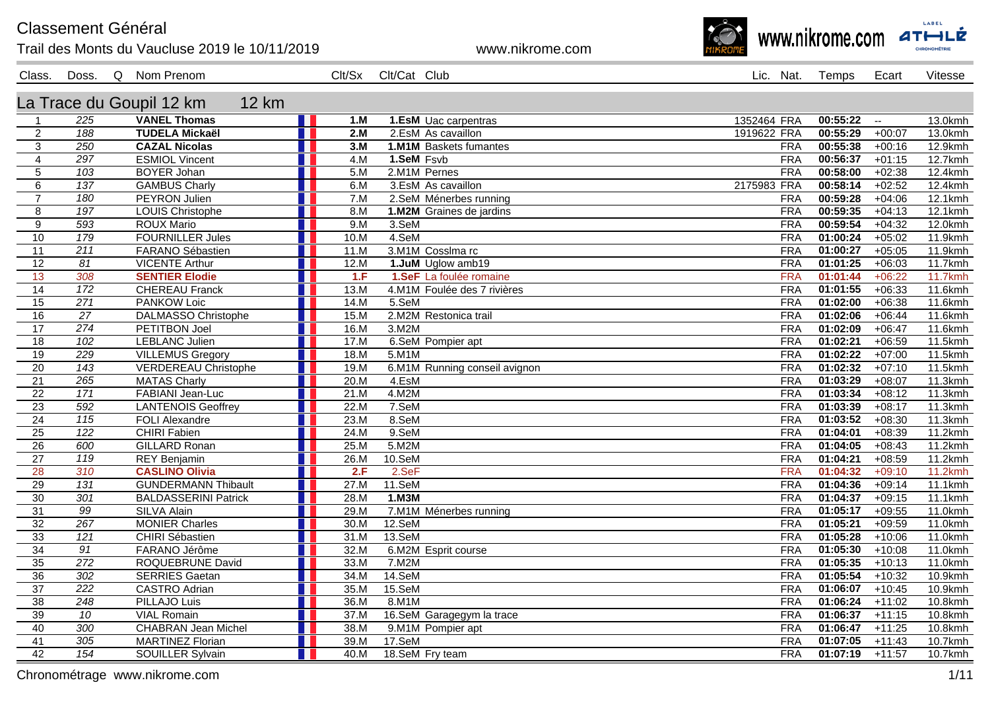**Classement Général** 

## Trail des Monts du Vaucluse 2019 le 10/11/2019

www.nikrome.com



Class. Doss. Q Nom Prenom

Clt/Sx Clt/Cat Club Lic. Nat. Temps Ecart

Vitesse

La Trace du Goupil 12 km **12 km** 

| $\overline{1}$        | 225                                 | <b>VANEL Thomas</b>                         | n T<br>1.M        | 1.EsM Uac carpentras          | 1352464 FRA              | $\overline{00:}55:22$ -- |                      | 13.0kmh            |
|-----------------------|-------------------------------------|---------------------------------------------|-------------------|-------------------------------|--------------------------|--------------------------|----------------------|--------------------|
| $\overline{2}$        | 188                                 | <b>TUDELA Mickaël</b>                       | 2.M               | 2.EsM As cavaillon            | 1919622 FRA              | 00:55:29                 | $+00:07$             | 13.0kmh            |
| 3                     | 250                                 | <b>CAZAL Nicolas</b>                        | 3.M<br>H.         | 1.M1M Baskets fumantes        | <b>FRA</b>               | 00:55:38                 | $+00:16$             | 12.9kmh            |
| $\overline{4}$        | 297                                 | <b>ESMIOL Vincent</b>                       | 4.M               | 1.SeM Fsvb                    | <b>FRA</b>               | 00:56:37                 | $+01:15$             | 12.7kmh            |
| $5\phantom{.0}$       | 103                                 | <b>BOYER Johan</b>                          | 5.M<br>a ser      | 2.M1M Pernes                  | <b>FRA</b>               | 00:58:00                 | $+02:38$             | 12.4kmh            |
| 6                     | 137                                 | <b>GAMBUS Charly</b>                        | 6.M               | 3.EsM As cavaillon            | 2175983 FRA              | 00:58:14                 | $+02:52$             | 12.4kmh            |
| $\overline{7}$        | 180                                 | <b>PEYRON Julien</b>                        | 7.M<br>H.         | 2.SeM Ménerbes running        | <b>FRA</b>               | 00:59:28                 | $+04:06$             | 12.1kmh            |
| 8                     | 197                                 | <b>LOUIS Christophe</b>                     | 8.M               | 1.M2M Graines de jardins      | <b>FRA</b>               | 00:59:35                 | $+04:13$             | 12.1kmh            |
| 9                     | 593                                 | <b>ROUX Mario</b>                           | 9.M               | 3.SeM                         | <b>FRA</b>               | 00:59:54                 | $+04:32$             | 12.0kmh            |
| 10                    | 179                                 | <b>FOURNILLER Jules</b>                     | 10.M              | 4.SeM                         | <b>FRA</b>               | 01:00:24                 | $+05:02$             | 11.9kmh            |
| 11                    | 211                                 | FARANO Sébastien                            | 11.M              | 3.M1M Cosslma rc              | <b>FRA</b>               | 01:00:27                 | $+05:05$             | 11.9kmh            |
| $\overline{12}$       | $\overline{81}$                     | <b>VICENTE Arthur</b>                       | 12.M              | 1.JuM Uglow amb19             | <b>FRA</b>               | 01:01:25                 | $+06:03$             | 11.7kmh            |
| 13                    | 308                                 | <b>SENTIER Elodie</b>                       | 1.F               | 1.SeF La foulée romaine       | <b>FRA</b>               | 01:01:44                 | $+06:22$             | <b>11.7kmh</b>     |
| 14                    | 172                                 | <b>CHEREAU Franck</b>                       | 13.M              | 4.M1M Foulée des 7 rivières   | <b>FRA</b>               | 01:01:55                 | $+06:33$             | 11.6kmh            |
| 15                    | 271                                 | PANKOW Loic                                 | 14.M<br>H.        | 5.SeM                         | <b>FRA</b>               | 01:02:00                 | $+06:38$             | 11.6kmh            |
| 16                    | $\overline{27}$                     | <b>DALMASSO Christophe</b>                  | 15.M              | 2.M2M Restonica trail         | <b>FRA</b>               | 01:02:06                 | $+06:44$             | 11.6kmh            |
| 17                    | 274                                 | PETITBON Joel                               | 16.M<br>H.        | 3.M2M                         | <b>FRA</b>               | 01:02:09                 | $+06:47$             | 11.6kmh            |
| 18                    | 102                                 | <b>LEBLANC Julien</b>                       | 17.M              | 6.SeM Pompier apt             | <b>FRA</b>               | 01:02:21                 | $+06:59$             | 11.5kmh            |
| 19                    | 229                                 | <b>VILLEMUS Gregory</b>                     | 18.M<br>. .       | 5.M1M                         | <b>FRA</b>               | 01:02:22                 | $+07:00$             | 11.5kmh            |
| $\overline{20}$       | $\overline{143}$                    | <b>VERDEREAU Christophe</b>                 | 19.M              | 6.M1M Running conseil avignon | <b>FRA</b>               | 01:02:32                 | $+07:10$             | 11.5kmh            |
| 21                    | 265                                 | <b>MATAS Charly</b>                         | 20.M<br>a katika  | 4.EsM                         | <b>FRA</b>               | 01:03:29                 | $+08:07$             | 11.3kmh            |
| $\overline{22}$       | $\overline{171}$                    | FABIANI Jean-Luc                            | 21.M              | 4.M2M                         | <b>FRA</b>               | 01:03:34                 | $+08:12$             | 11.3kmh            |
| $\overline{23}$       | 592                                 | <b>LANTENOIS Geoffrey</b>                   | 22.M<br>H.        | 7.SeM                         | <b>FRA</b>               | 01:03:39                 | $+08:17$             | 11.3kmh            |
| $\overline{24}$       | 115                                 | <b>FOLI Alexandre</b>                       | 23.M<br>Ш         | 8.SeM                         | <b>FRA</b>               | 01:03:52                 | $+08:30$             | 11.3kmh            |
| 25                    | $\overline{122}$                    | <b>CHIRI Fabien</b>                         | 24.M<br>H.        | 9.SeM                         | FRA                      | 01:04:01                 | $+08:39$             | 11.2kmh            |
| $\overline{26}$       | 600                                 | <b>GILLARD Ronan</b>                        | 25.M              | 5.M2M                         | <b>FRA</b>               | 01:04:05                 | $+08:43$             | 11.2kmh            |
| 27                    | 119                                 | REY Benjamin                                | 26.M<br>H.        | 10.SeM                        | <b>FRA</b>               | 01:04:21                 | $+08:59$             | 11.2kmh            |
| $\overline{28}$       | 310                                 | <b>CASLINO Olivia</b>                       | 2.F<br>ш          | 2.SeF                         | <b>FRA</b>               | 01:04:32                 | $+09:10$             | 11.2kmh            |
| $\overline{29}$       | $\overline{131}$                    | <b>GUNDERMANN Thibault</b>                  | 27.M<br>. .       | 11.SeM                        | <b>FRA</b>               | 01:04:36                 | $+09:14$             | 11.1kmh            |
| $\overline{30}$       | 301                                 | <b>BALDASSERINI Patrick</b>                 | 28.M              | $1.$ M $3M$                   | <b>FRA</b>               | 01:04:37                 | $+09:15$             | 11.1kmh            |
| 31                    | $\overline{99}$<br>$\overline{267}$ | <b>SILVA Alain</b><br><b>MONIER Charles</b> | 29.M<br>H.        | 7.M1M Ménerbes running        | <b>FRA</b>               | 01:05:17<br>01:05:21     | $+09:55$             | 11.0kmh            |
| 32                    |                                     | <b>CHIRI Sébastien</b>                      | 30.M<br>ш<br>31.M | 12.SeM<br>$13.$ SeM           | <b>FRA</b><br><b>FRA</b> | 01:05:28                 | $+09:59$             | 11.0kmh            |
| 33                    | 121                                 |                                             | . .               |                               |                          |                          | $+10:06$             | 11.0kmh            |
| 34<br>$\overline{35}$ | 91<br>$\overline{272}$              | FARANO Jérôme<br>ROQUEBRUNE David           | 32.M<br>33.M      | 6.M2M Esprit course<br>7.M2M  | <b>FRA</b><br><b>FRA</b> | 01:05:30<br>01:05:35     | $+10:08$             | 11.0kmh            |
| $\overline{36}$       | 302                                 | <b>SERRIES Gaetan</b>                       | ш<br>34.M         | $14.$ SeM                     | <b>FRA</b>               | 01:05:54                 | $+10:13$<br>$+10:32$ | 11.0kmh<br>10.9kmh |
| $\overline{37}$       | $\overline{222}$                    | <b>CASTRO Adrian</b>                        | 35.M              | 15.SeM                        | <b>FRA</b>               | 01:06:07                 | $+10:45$             | 10.9kmh            |
| $\overline{38}$       | $\overline{248}$                    | PILLAJO Luis                                | 36.M              | 8.M1M                         | <b>FRA</b>               | 01:06:24                 | $+11:02$             | 10.8kmh            |
| 39                    | 10                                  | <b>VIAL Romain</b>                          | 37.M<br>ш         | 16.SeM Garagegym la trace     | <b>FRA</b>               | 01:06:37                 | $+11:15$             | 10.8kmh            |
| 40                    | 300                                 | <b>CHABRAN Jean Michel</b>                  | 38.M              | 9.M1M Pompier apt             | <b>FRA</b>               | 01:06:47                 | $+11:25$             | 10.8kmh            |
| 41                    | 305                                 | <b>MARTINEZ Florian</b>                     | 39.M              | 17.SeM                        | <b>FRA</b>               | 01:07:05                 | $+11:43$             | 10.7kmh            |
| 42                    | 154                                 | SOUILLER Sylvain                            | 40.M              | 18.SeM Fry team               | <b>FRA</b>               | 01:07:19                 | $+11:57$             | 10.7kmh            |
|                       |                                     |                                             |                   |                               |                          |                          |                      |                    |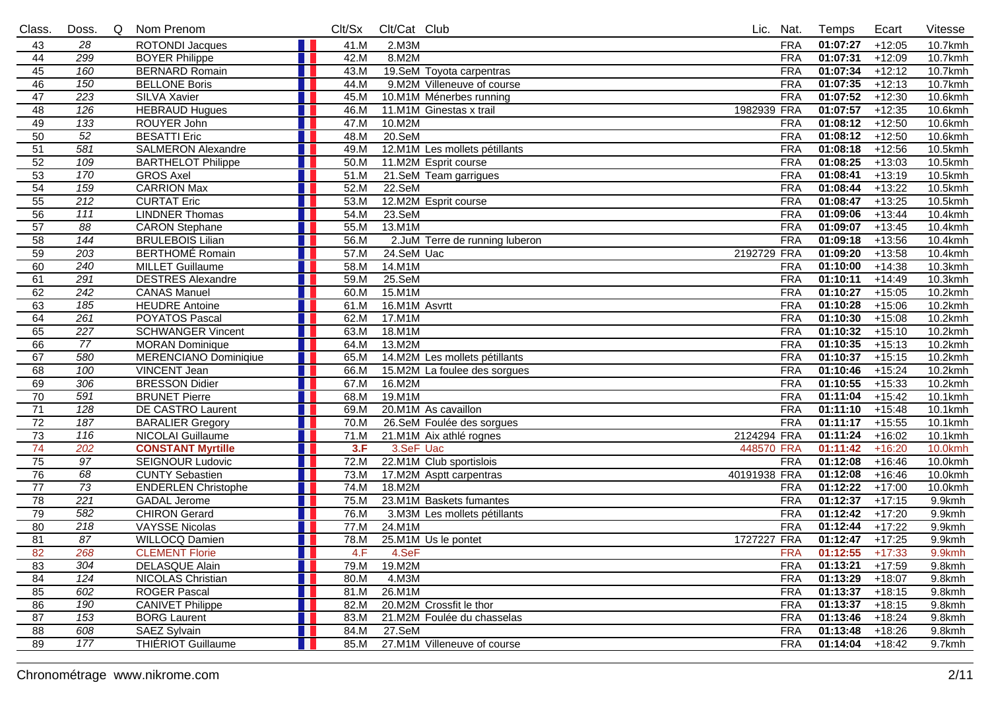| Class.          | Doss.            | Q | Nom Prenom                   |     | Clt/Sx | Clt/Cat Club  |                                |              | Lic. Nat.  | Temps             | Ecart    | Vitesse               |
|-----------------|------------------|---|------------------------------|-----|--------|---------------|--------------------------------|--------------|------------|-------------------|----------|-----------------------|
| 43              | 28               |   | <b>ROTONDI Jacques</b>       |     | 41.M   | 2.M3M         |                                |              | <b>FRA</b> | 01:07:27          | $+12:05$ | 10.7kmh               |
| 44              | 299              |   | <b>BOYER Philippe</b>        |     | 42.M   | 8.M2M         |                                |              | <b>FRA</b> | 01:07:31          | $+12:09$ | 10.7kmh               |
| 45              | 160              |   | <b>BERNARD Romain</b>        |     | 43.M   |               | 19.SeM Toyota carpentras       |              | <b>FRA</b> | 01:07:34          | $+12:12$ | 10.7kmh               |
| 46              | 150              |   | <b>BELLONE Boris</b>         |     | 44.M   |               | 9.M2M Villeneuve of course     |              | <b>FRA</b> | 01:07:35          | $+12:13$ | 10.7kmh               |
| $\overline{47}$ | 223              |   | <b>SILVA Xavier</b>          |     | 45.M   |               | 10.M1M Ménerbes running        |              | <b>FRA</b> | 01:07:52          | $+12:30$ | 10.6kmh               |
| 48              | 126              |   | <b>HEBRAUD Hugues</b>        |     | 46.M   |               | 11.M1M Ginestas x trail        | 1982939 FRA  |            | 01:07:57          | $+12:35$ | 10.6kmh               |
| 49              | 133              |   | ROUYER John                  |     | 47.M   | 10.M2M        |                                |              | <b>FRA</b> | 01:08:12          | $+12:50$ | 10.6kmh               |
| 50              | $\overline{52}$  |   | <b>BESATTI Eric</b>          |     | 48.M   | $20.$ SeM     |                                |              | <b>FRA</b> | 01:08:12          | $+12:50$ | 10.6kmh               |
| 51              | 581              |   | <b>SALMERON Alexandre</b>    |     | 49.M   |               | 12.M1M Les mollets pétillants  |              | <b>FRA</b> | 01:08:18          | $+12:56$ | 10.5kmh               |
| 52              | 109              |   | <b>BARTHELOT Philippe</b>    | H I | 50.M   |               | 11.M2M Esprit course           |              | <b>FRA</b> | 01:08:25          | $+13:03$ | 10.5kmh               |
| 53              | 170              |   | <b>GROS Axel</b>             |     | 51.M   |               | 21.SeM Team garrigues          |              | <b>FRA</b> | 01:08:41          | $+13:19$ | 10.5kmh               |
| 54              | 159              |   | <b>CARRION Max</b>           |     | 52.M   | 22.SeM        |                                |              | <b>FRA</b> | 01:08:44          | $+13:22$ | 10.5kmh               |
| 55              | $\overline{212}$ |   | <b>CURTAT Eric</b>           |     | 53.M   |               | 12.M2M Esprit course           |              | <b>FRA</b> | 01:08:47          | $+13:25$ | 10.5kmh               |
| 56              | $\overline{111}$ |   | <b>LINDNER Thomas</b>        |     | 54.M   | $23.$ SeM     |                                |              | <b>FRA</b> | 01:09:06          | $+13:44$ | 10.4kmh               |
| $\overline{57}$ | $\overline{88}$  |   | <b>CARON Stephane</b>        |     | 55.M   | 13.M1M        |                                |              | <b>FRA</b> | 01:09:07          | $+13:45$ | 10.4kmh               |
| 58              | 144              |   | <b>BRULEBOIS Lilian</b>      |     | 56.M   |               | 2.JuM Terre de running luberon |              | <b>FRA</b> | 01:09:18          | $+13:56$ | 10.4kmh               |
| 59              | 203              |   | <b>BERTHOMÉ Romain</b>       |     | 57.M   | 24.SeM Uac    |                                | 2192729 FRA  |            | 01:09:20          | $+13:58$ | 10.4kmh               |
| 60              | 240              |   | <b>MILLET Guillaume</b>      |     | 58.M   | 14.M1M        |                                |              | <b>FRA</b> | 01:10:00          | $+14:38$ | 10.3kmh               |
| 61              | 291              |   | <b>DESTRES Alexandre</b>     |     | 59.M   | 25.SeM        |                                |              | <b>FRA</b> | 01:10:11          | $+14:49$ | 10.3kmh               |
| 62              | 242              |   | <b>CANAS Manuel</b>          |     | 60.M   | 15.M1M        |                                |              | <b>FRA</b> | 01:10:27          | $+15:05$ | 10.2kmh               |
| 63              | 185              |   | <b>HEUDRE Antoine</b>        |     | 61.M   | 16.M1M Asvrtt |                                |              | <b>FRA</b> | 01:10:28          | $+15:06$ | $10.2$ <sub>kmh</sub> |
| 64              | $\overline{261}$ |   | <b>POYATOS Pascal</b>        |     | 62.M   | 17.M1M        |                                |              | <b>FRA</b> | 01:10:30          | $+15:08$ | 10.2kmh               |
| 65              | 227              |   | <b>SCHWANGER Vincent</b>     |     | 63.M   | 18.M1M        |                                |              | <b>FRA</b> | 01:10:32          | $+15:10$ | 10.2kmh               |
| 66              | $\overline{77}$  |   | <b>MORAN Dominique</b>       |     | 64.M   | 13.M2M        |                                |              | <b>FRA</b> | 01:10:35          | $+15:13$ | 10.2kmh               |
| 67              | 580              |   | <b>MERENCIANO Dominiqiue</b> |     | 65.M   |               | 14.M2M Les mollets pétillants  |              | <b>FRA</b> | 01:10:37          | $+15:15$ | 10.2kmh               |
| 68              | 100              |   | <b>VINCENT Jean</b>          |     | 66.M   |               | 15.M2M La foulee des sorgues   |              | <b>FRA</b> | 01:10:46          | $+15:24$ | 10.2kmh               |
| 69              | 306              |   | <b>BRESSON Didier</b>        |     | 67.M   | 16.M2M        |                                |              | <b>FRA</b> | 01:10:55          | $+15:33$ | 10.2kmh               |
| 70              | 591              |   | <b>BRUNET Pierre</b>         |     | 68.M   | 19.M1M        |                                |              | <b>FRA</b> | 01:11:04          | $+15:42$ | 10.1kmh               |
| $\overline{71}$ | 128              |   | DE CASTRO Laurent            |     | 69.M   |               | 20.M1M As cavaillon            |              | <b>FRA</b> | 01:11:10          | $+15:48$ | 10.1kmh               |
| $\overline{72}$ | 187              |   | <b>BARALIER Gregory</b>      |     | 70.M   |               | 26.SeM Foulée des sorgues      |              | <b>FRA</b> | 01:11:17          | $+15:55$ | 10.1kmh               |
| 73              | 116              |   | NICOLAI Guillaume            |     | 71.M   |               | 21.M1M Aix athlé rognes        | 2124294 FRA  |            | 01:11:24          | $+16:02$ | 10.1kmh               |
| 74              | 202              |   | <b>CONSTANT Myrtille</b>     |     | 3.F    | 3.SeF Uac     |                                | 448570 FRA   |            | 01:11:42          | $+16:20$ | 10.0kmh               |
| 75              | $\overline{97}$  |   | <b>SEIGNOUR Ludovic</b>      |     | 72.M   |               | 22.M1M Club sportislois        |              | <b>FRA</b> | 01:12:08          | $+16:46$ | 10.0kmh               |
| 76              | 68               |   | <b>CUNTY Sebastien</b>       |     | 73.M   |               | 17.M2M Asptt carpentras        | 40191938 FRA |            | 01:12:08          | $+16:46$ | 10.0kmh               |
| 77              | 73               |   | <b>ENDERLEN Christophe</b>   |     | 74.M   | 18.M2M        |                                |              | <b>FRA</b> | 01:12:22          | $+17:00$ | $10.0$ kmh            |
| 78              | $\overline{221}$ |   | <b>GADAL</b> Jerome          |     | 75.M   |               | 23.M1M Baskets fumantes        |              | <b>FRA</b> | 01:12:37          | $+17:15$ | 9.9kmh                |
| 79              | 582              |   | <b>CHIRON Gerard</b>         |     | 76.M   |               | 3.M3M Les mollets pétillants   |              | <b>FRA</b> | 01:12:42          | $+17:20$ | 9.9kmh                |
| 80              | 218              |   | <b>VAYSSE Nicolas</b>        |     | 77.M   | 24.M1M        |                                |              | <b>FRA</b> | 01:12:44          | $+17:22$ | 9.9kmh                |
| 81              | 87               |   | WILLOCQ Damien               |     | 78.M   |               | 25.M1M Us le pontet            | 1727227 FRA  |            | 01:12:47          | $+17:25$ | 9.9kmh                |
| 82              | 268              |   | <b>CLEMENT Florie</b>        | H   | 4.F    | 4.SeF         |                                |              | <b>FRA</b> | $01:12:55$ +17:33 |          | 9.9kmh                |
| 83              | 304              |   | DELASQUE Alain               |     | 79.M   | 19.M2M        |                                |              | <b>FRA</b> | 01:13:21          | $+17:59$ | 9.8kmh                |
| 84              | 124              |   | <b>NICOLAS Christian</b>     |     | 80.M   | 4.M3M         |                                |              | <b>FRA</b> | 01:13:29          | $+18:07$ | 9.8kmh                |
| 85              | 602              |   | <b>ROGER Pascal</b>          |     | 81.M   | 26.M1M        |                                |              | <b>FRA</b> | 01:13:37          | $+18:15$ | 9.8kmh                |
| 86              | 190              |   | <b>CANIVET Philippe</b>      |     | 82.M   |               | 20.M2M Crossfit le thor        |              | <b>FRA</b> | 01:13:37          | $+18:15$ | 9.8kmh                |
| 87              | 153              |   | <b>BORG Laurent</b>          |     | 83.M   |               | 21.M2M Foulée du chasselas     |              | <b>FRA</b> | 01:13:46          | $+18:24$ | 9.8kmh                |
| 88              | 608              |   | SAEZ Sylvain                 |     | 84.M   | 27.SeM        |                                |              | <b>FRA</b> | 01:13:48          | $+18:26$ | 9.8kmh                |
| 89              | 177              |   | <b>THIÉRIOT Guillaume</b>    |     | 85.M   |               | 27.M1M Villeneuve of course    |              | <b>FRA</b> | 01:14:04          | $+18:42$ | 9.7kmh                |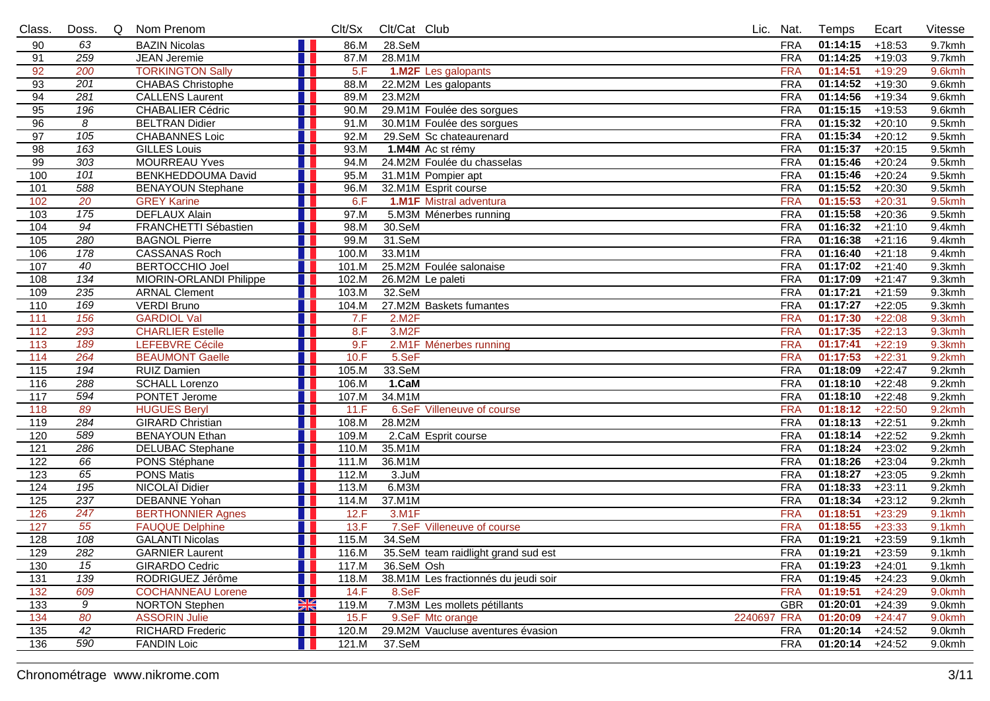| Class.           | Doss.            | <b>Q</b> | Nom Prenom                |    | Clt/Sx | Clt/Cat Club       |                                      |             | Lic. Nat.  | Temps    | Ecart    | Vitesse   |
|------------------|------------------|----------|---------------------------|----|--------|--------------------|--------------------------------------|-------------|------------|----------|----------|-----------|
| 90               | 63               |          | <b>BAZIN Nicolas</b>      |    | 86.M   | 28.SeM             |                                      |             | <b>FRA</b> | 01:14:15 | $+18:53$ | 9.7kmh    |
| 91               | 259              |          | <b>JEAN Jeremie</b>       |    | 87.M   | 28.M1M             |                                      |             | <b>FRA</b> | 01:14:25 | $+19:03$ | 9.7kmh    |
| 92               | 200              |          | <b>TORKINGTON Sally</b>   |    | 5.F    |                    | 1.M2F Les galopants                  |             | <b>FRA</b> | 01:14:51 | $+19:29$ | 9.6kmh    |
| 93               | 201              |          | <b>CHABAS Christophe</b>  |    | 88.M   |                    | 22.M2M Les galopants                 |             | <b>FRA</b> | 01:14:52 | $+19:30$ | $9.6$ kmh |
| 94               | $\overline{281}$ |          | <b>CALLENS Laurent</b>    |    | 89.M   | 23.M2M             |                                      |             | <b>FRA</b> | 01:14:56 | $+19:34$ | 9.6kmh    |
| 95               | 196              |          | <b>CHABALIER Cédric</b>   |    | 90.M   |                    | 29.M1M Foulée des sorgues            |             | <b>FRA</b> | 01:15:15 | $+19:53$ | 9.6kmh    |
| 96               | 8                |          | <b>BELTRAN Didier</b>     |    | 91.M   |                    | 30.M1M Foulée des sorgues            |             | <b>FRA</b> | 01:15:32 | $+20:10$ | 9.5kmh    |
| 97               | 105              |          | <b>CHABANNES Loic</b>     |    | 92.M   |                    | 29.SeM Sc chateaurenard              |             | <b>FRA</b> | 01:15:34 | $+20:12$ | 9.5kmh    |
| 98               | 163              |          | <b>GILLES Louis</b>       |    | 93.M   |                    | 1.M4M Ac st rémy                     |             | <b>FRA</b> | 01:15:37 | $+20:15$ | 9.5kmh    |
| 99               | 303              |          | <b>MOURREAU Yves</b>      |    | 94.M   |                    | 24.M2M Foulée du chasselas           |             | <b>FRA</b> | 01:15:46 | $+20:24$ | 9.5kmh    |
| 100              | 101              |          | <b>BENKHEDDOUMA David</b> |    | 95.M   |                    | 31.M1M Pompier apt                   |             | <b>FRA</b> | 01:15:46 | $+20:24$ | 9.5kmh    |
| 101              | 588              |          | <b>BENAYOUN Stephane</b>  |    | 96.M   |                    | 32.M1M Esprit course                 |             | <b>FRA</b> | 01:15:52 | $+20:30$ | 9.5kmh    |
| 102              | 20               |          | <b>GREY Karine</b>        |    | 6.F    |                    | 1.M1F Mistral adventura              |             | <b>FRA</b> | 01:15:53 | $+20:31$ | 9.5kmh    |
| 103              | 175              |          | <b>DEFLAUX Alain</b>      |    | 97.M   |                    | 5.M3M Ménerbes running               |             | <b>FRA</b> | 01:15:58 | $+20:36$ | 9.5kmh    |
| 104              | $\overline{94}$  |          | FRANCHETTI Sébastien      |    | 98.M   | 30.SeM             |                                      |             | <b>FRA</b> | 01:16:32 | $+21:10$ | 9.4kmh    |
| 105              | 280              |          | <b>BAGNOL Pierre</b>      |    | 99.M   | 31.SeM             |                                      |             | <b>FRA</b> | 01:16:38 | $+21:16$ | 9.4kmh    |
| 106              | 178              |          | <b>CASSANAS Roch</b>      |    | 100.M  | 33.M1M             |                                      |             | <b>FRA</b> | 01:16:40 | $+21:18$ | 9.4kmh    |
| 107              | 40               |          | <b>BERTOCCHIO Joel</b>    |    | 101.M  |                    | 25.M2M Foulée salonaise              |             | <b>FRA</b> | 01:17:02 | $+21:40$ | 9.3kmh    |
| 108              | 134              |          | MIORIN-ORLANDI Philippe   |    | 102.M  |                    | 26.M2M Le paleti                     |             | <b>FRA</b> | 01:17:09 | $+21:47$ | 9.3kmh    |
| 109              | 235              |          | <b>ARNAL Clement</b>      | H  | 103.M  | 32.SeM             |                                      |             | <b>FRA</b> | 01:17:21 | $+21:59$ | 9.3kmh    |
| 110              | 169              |          | <b>VERDI Bruno</b>        |    | 104.M  |                    | 27.M2M Baskets fumantes              |             | <b>FRA</b> | 01:17:27 | $+22:05$ | 9.3kmh    |
| 111              | 156              |          | <b>GARDIOL Val</b>        |    | 7.F    | 2.M2F              |                                      |             | <b>FRA</b> | 01:17:30 | $+22:08$ | 9.3kmh    |
| 112              | 293              |          | <b>CHARLIER Estelle</b>   |    | 8.F    | 3.M <sub>2</sub> F |                                      |             | <b>FRA</b> | 01:17:35 | $+22:13$ | 9.3kmh    |
| 113              | 189              |          | <b>LEFEBVRE Cécile</b>    |    | 9.F    |                    | 2.M1F Ménerbes running               |             | <b>FRA</b> | 01:17:41 | $+22:19$ | 9.3kmh    |
| 114              | 264              |          | <b>BEAUMONT Gaelle</b>    |    | 10.F   | 5.SeF              |                                      |             | <b>FRA</b> | 01:17:53 | $+22:31$ | 9.2kmh    |
| 115              | 194              |          | <b>RUIZ Damien</b>        |    | 105.M  | 33.SeM             |                                      |             | <b>FRA</b> | 01:18:09 | $+22:47$ | 9.2kmh    |
| 116              | 288              |          | <b>SCHALL Lorenzo</b>     |    | 106.M  | 1.CaM              |                                      |             | <b>FRA</b> | 01:18:10 | $+22:48$ | 9.2kmh    |
| 117              | 594              |          | PONTET Jerome             |    | 107.M  | 34.M1M             |                                      |             | <b>FRA</b> | 01:18:10 | $+22:48$ | 9.2kmh    |
| 118              | 89               |          | <b>HUGUES Beryl</b>       |    | 11.F   |                    | 6.SeF Villeneuve of course           |             | <b>FRA</b> | 01:18:12 | $+22:50$ | 9.2kmh    |
| 119              | 284              |          | <b>GIRARD Christian</b>   |    | 108.M  | 28.M2M             |                                      |             | <b>FRA</b> | 01:18:13 | $+22:51$ | 9.2kmh    |
| 120              | 589              |          | <b>BENAYOUN Ethan</b>     |    | 109.M  |                    | 2.CaM Esprit course                  |             | <b>FRA</b> | 01:18:14 | $+22:52$ | 9.2kmh    |
| $\overline{121}$ | 286              |          | <b>DELUBAC Stephane</b>   |    | 110.M  | 35.M1M             |                                      |             | <b>FRA</b> | 01:18:24 | $+23:02$ | 9.2kmh    |
| 122              | 66               |          | PONS Stéphane             |    | 111.M  | 36.M1M             |                                      |             | <b>FRA</b> | 01:18:26 | $+23:04$ | 9.2kmh    |
| 123              | 65               |          | <b>PONS Matis</b>         |    | 112.M  | $3.$ JuM           |                                      |             | <b>FRA</b> | 01:18:27 | $+23:05$ | 9.2kmh    |
| 124              | $\overline{195}$ |          | NICOLAÏ Didier            |    | 113.M  | 6.M3M              |                                      |             | <b>FRA</b> | 01:18:33 | $+23:11$ | 9.2kmh    |
| 125              | 237              |          | <b>DEBANNE Yohan</b>      |    | 114.M  | 37.M1M             |                                      |             | <b>FRA</b> | 01:18:34 | $+23:12$ | 9.2kmh    |
| 126              | $\overline{247}$ |          | <b>BERTHONNIER Agnes</b>  |    | 12.F   | 3.M1F              |                                      |             | <b>FRA</b> | 01:18:51 | $+23:29$ | 9.1kmh    |
| 127              | 55               |          | <b>FAUQUE Delphine</b>    |    | 13.F   |                    | 7.SeF Villeneuve of course           |             | <b>FRA</b> | 01:18:55 | $+23:33$ | 9.1kmh    |
| 128              | 108              |          | <b>GALANTI Nicolas</b>    |    | 115.M  | 34.SeM             |                                      |             | <b>FRA</b> | 01:19:21 | $+23:59$ | 9.1kmh    |
| 129              | $\overline{282}$ |          | <b>GARNIER Laurent</b>    | H. | 116.M  |                    | 35.SeM team raidlight grand sud est  |             | <b>FRA</b> | 01:19:21 | $+23:59$ | 9.1kmh    |
| 130              | 15               |          | <b>GIRARDO Cedric</b>     |    | 117.M  | 36.SeM Osh         |                                      |             | FRA        | 01:19:23 | $+24:01$ | 9.1kmh    |
| 131              | 139              |          | RODRIGUEZ Jérôme          |    | 118.M  |                    | 38.M1M Les fractionnés du jeudi soir |             | <b>FRA</b> | 01:19:45 | $+24:23$ | 9.0kmh    |
| 132              | 609              |          | <b>COCHANNEAU Lorene</b>  |    | 14.F   | 8.SeF              |                                      |             | <b>FRA</b> | 01:19:51 | $+24:29$ | 9.0kmh    |
| 133              | 9                |          | <b>NORTON Stephen</b>     | XK | 119.M  |                    | 7.M3M Les mollets pétillants         |             | <b>GBR</b> | 01:20:01 | $+24:39$ | 9.0kmh    |
| 134              | 80               |          | <b>ASSORIN Julie</b>      |    | 15.F   |                    | 9.SeF Mtc orange                     | 2240697 FRA |            | 01:20:09 | $+24:47$ | 9.0kmh    |
| 135              | $\overline{42}$  |          | <b>RICHARD Frederic</b>   |    | 120.M  |                    | 29.M2M Vaucluse aventures évasion    |             | <b>FRA</b> | 01:20:14 | $+24:52$ | 9.0kmh    |
| 136              | 590              |          | <b>FANDIN Loic</b>        |    | 121.M  | 37.SeM             |                                      |             | <b>FRA</b> | 01:20:14 | $+24:52$ | 9.0kmh    |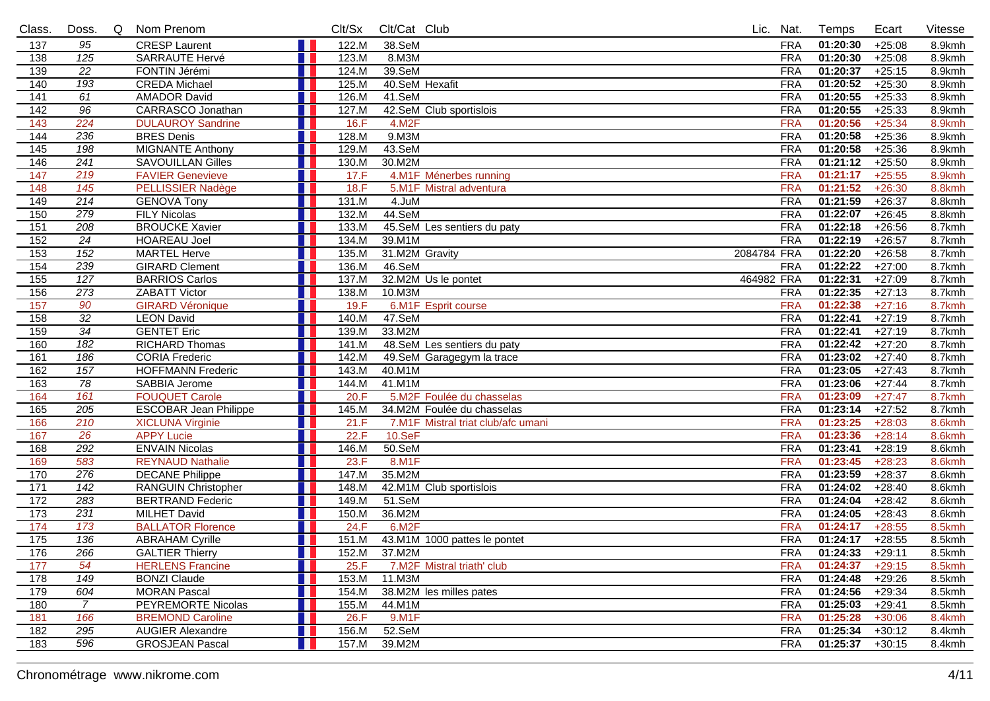| Class.            | Doss.            | Q | Nom Prenom                   | Clt/Sx |       | Clt/Cat Club |                                    |             | Lic. Nat.  | Temps    | Ecart    | Vitesse |
|-------------------|------------------|---|------------------------------|--------|-------|--------------|------------------------------------|-------------|------------|----------|----------|---------|
| 137               | 95               |   | <b>CRESP Laurent</b>         |        | 122.M | 38.SeM       |                                    |             | <b>FRA</b> | 01:20:30 | $+25:08$ | 8.9kmh  |
| 138               | 125              |   | <b>SARRAUTE Hervé</b>        |        | 123.M | 8.M3M        |                                    |             | <b>FRA</b> | 01:20:30 | $+25:08$ | 8.9kmh  |
| 139               | $\overline{22}$  |   | FONTIN Jérémi                |        | 124.M | 39.SeM       |                                    |             | <b>FRA</b> | 01:20:37 | $+25:15$ | 8.9kmh  |
| 140               | 193              |   | <b>CREDA Michael</b>         |        | 125.M |              | 40.SeM Hexafit                     |             | <b>FRA</b> | 01:20:52 | $+25:30$ | 8.9kmh  |
| $\overline{141}$  | 61               |   | <b>AMADOR David</b>          |        | 126.M | 41.SeM       |                                    |             | <b>FRA</b> | 01:20:55 | $+25:33$ | 8.9kmh  |
| 142               | 96               |   | <b>CARRASCO Jonathan</b>     |        | 127.M |              | 42.SeM Club sportislois            |             | <b>FRA</b> | 01:20:55 | $+25:33$ | 8.9kmh  |
| 143               | 224              |   | <b>DULAUROY Sandrine</b>     |        | 16.F  | 4.M2F        |                                    |             | <b>FRA</b> | 01:20:56 | $+25:34$ | 8.9kmh  |
| 144               | 236              |   | <b>BRES Denis</b>            |        | 128.M | $9.$ M $3M$  |                                    |             | <b>FRA</b> | 01:20:58 | $+25:36$ | 8.9kmh  |
| $\frac{145}{145}$ | 198              |   | <b>MIGNANTE Anthony</b>      |        | 129.M | 43.SeM       |                                    |             | <b>FRA</b> | 01:20:58 | $+25:36$ | 8.9kmh  |
| 146               | 241              |   | <b>SAVOUILLAN Gilles</b>     | a pro  | 130.M | 30.M2M       |                                    |             | <b>FRA</b> | 01:21:12 | $+25:50$ | 8.9kmh  |
| 147               | 219              |   | <b>FAVIER Genevieve</b>      |        | 17.F  |              | 4.M1F Ménerbes running             |             | <b>FRA</b> | 01:21:17 | $+25:55$ | 8.9kmh  |
| 148               | 145              |   | <b>PELLISSIER Nadège</b>     |        | 18.F  |              | 5.M1F Mistral adventura            |             | <b>FRA</b> | 01:21:52 | $+26:30$ | 8.8kmh  |
| 149               | 214              |   | <b>GENOVA Tony</b>           |        | 131.M | 4.JuM        |                                    |             | <b>FRA</b> | 01:21:59 | $+26:37$ | 8.8kmh  |
| 150               | 279              |   | <b>FILY Nicolas</b>          |        | 132.M | 44.SeM       |                                    |             | <b>FRA</b> | 01:22:07 | $+26:45$ | 8.8kmh  |
| 151               | 208              |   | <b>BROUCKE Xavier</b>        |        | 133.M |              | 45.SeM Les sentiers du paty        |             | <b>FRA</b> | 01:22:18 | $+26:56$ | 8.7kmh  |
| 152               | $\overline{24}$  |   | <b>HOAREAU Joel</b>          |        | 134.M | 39.M1M       |                                    |             | <b>FRA</b> | 01:22:19 | $+26:57$ | 8.7kmh  |
| $\overline{153}$  | 152              |   | <b>MARTEL Herve</b>          |        | 135.M |              | 31.M2M Gravity                     | 2084784 FRA |            | 01:22:20 | $+26:58$ | 8.7kmh  |
| 154               | 239              |   | <b>GIRARD Clement</b>        |        | 136.M | 46.SeM       |                                    |             | <b>FRA</b> | 01:22:22 | $+27:00$ | 8.7kmh  |
| $\overline{155}$  | $\overline{127}$ |   | <b>BARRIOS Carlos</b>        |        | 137.M |              | 32.M2M Us le pontet                | 464982 FRA  |            | 01:22:31 | $+27:09$ | 8.7kmh  |
| 156               | 273              |   | <b>ZABATT Victor</b>         |        | 138.M | 10.M3M       |                                    |             | <b>FRA</b> | 01:22:35 | $+27:13$ | 8.7kmh  |
| 157               | 90               |   | <b>GIRARD Véronique</b>      |        | 19.F  |              | 6.M1F Esprit course                |             | <b>FRA</b> | 01:22:38 | $+27:16$ | 8.7kmh  |
| 158               | $\overline{32}$  |   | <b>LEON David</b>            |        | 140.M | 47.SeM       |                                    |             | <b>FRA</b> | 01:22:41 | $+27:19$ | 8.7kmh  |
| 159               | $\overline{34}$  |   | <b>GENTET Eric</b>           |        | 139.M | 33.M2M       |                                    |             | <b>FRA</b> | 01:22:41 | $+27:19$ | 8.7kmh  |
| 160               | 182              |   | <b>RICHARD Thomas</b>        | L I    | 141.M |              | 48.SeM Les sentiers du paty        |             | <b>FRA</b> | 01:22:42 | $+27:20$ | 8.7kmh  |
| 161               | 186              |   | <b>CORIA Frederic</b>        |        | 142.M |              | 49.SeM Garagegym la trace          |             | <b>FRA</b> | 01:23:02 | $+27:40$ | 8.7kmh  |
| 162               | 157              |   | <b>HOFFMANN Frederic</b>     |        | 143.M | 40.M1M       |                                    |             | <b>FRA</b> | 01:23:05 | $+27:43$ | 8.7kmh  |
| 163               | 78               |   | SABBIA Jerome                |        | 144.M | 41.M1M       |                                    |             | <b>FRA</b> | 01:23:06 | $+27:44$ | 8.7kmh  |
| 164               | 161              |   | <b>FOUQUET Carole</b>        |        | 20.F  |              | 5.M2F Foulée du chasselas          |             | <b>FRA</b> | 01:23:09 | $+27:47$ | 8.7kmh  |
| 165               | 205              |   | <b>ESCOBAR Jean Philippe</b> |        | 145.M |              | 34.M2M Foulée du chasselas         |             | <b>FRA</b> | 01:23:14 | $+27:52$ | 8.7kmh  |
| 166               | 210              |   | <b>XICLUNA Virginie</b>      |        | 21.F  |              | 7.M1F Mistral triat club/afc umani |             | <b>FRA</b> | 01:23:25 | $+28:03$ | 8.6kmh  |
| 167               | 26               |   | <b>APPY Lucie</b>            |        | 22.F  | 10.SeF       |                                    |             | <b>FRA</b> | 01:23:36 | $+28:14$ | 8.6kmh  |
| 168               | 292              |   | <b>ENVAIN Nicolas</b>        |        | 146.M | $50.$ SeM    |                                    |             | <b>FRA</b> | 01:23:41 | $+28:19$ | 8.6kmh  |
| 169               | 583              |   | <b>REYNAUD Nathalie</b>      |        | 23.F  | 8.M1F        |                                    |             | <b>FRA</b> | 01:23:45 | $+28:23$ | 8.6kmh  |
| 170               | 276              |   | <b>DECANE Philippe</b>       |        | 147.M | 35.M2M       |                                    |             | <b>FRA</b> | 01:23:59 | $+28:37$ | 8.6kmh  |
| 171               | $\overline{142}$ |   | <b>RANGUIN Christopher</b>   |        | 148.M |              | 42.M1M Club sportislois            |             | <b>FRA</b> | 01:24:02 | $+28:40$ | 8.6kmh  |
| $\overline{172}$  | 283              |   | <b>BERTRAND Federic</b>      |        | 149.M | 51.SeM       |                                    |             | <b>FRA</b> | 01:24:04 | $+28:42$ | 8.6kmh  |
| $\overline{173}$  | $\overline{231}$ |   | <b>MILHET David</b>          |        | 150.M | 36.M2M       |                                    |             | <b>FRA</b> | 01:24:05 | $+28:43$ | 8.6kmh  |
| 174               | 173              |   | <b>BALLATOR Florence</b>     |        | 24.F  | 6.M2F        |                                    |             | <b>FRA</b> | 01:24:17 | $+28:55$ | 8.5kmh  |
| $\frac{175}{2}$   | 136              |   | <b>ABRAHAM Cyrille</b>       |        | 151.M |              | 43.M1M 1000 pattes le pontet       |             | <b>FRA</b> | 01:24:17 | $+28:55$ | 8.5kmh  |
| 176               | 266              |   | <b>GALTIER Thierry</b>       | H.     | 152.M | 37.M2M       |                                    |             | <b>FRA</b> | 01:24:33 | $+29:11$ | 8.5kmh  |
| 177               | 54               |   | <b>HERLENS</b> Francine      |        | 25.F  |              | 7.M2F Mistral triath' club         |             | <b>FRA</b> | 01:24:37 | $+29:15$ | 8.5kmh  |
| 178               | 149              |   | <b>BONZI Claude</b>          |        | 153.M | 11.M3M       |                                    |             | <b>FRA</b> | 01:24:48 | $+29:26$ | 8.5kmh  |
| 179               | 604              |   | <b>MORAN Pascal</b>          |        | 154.M |              | 38.M2M les milles pates            |             | FRA        | 01:24:56 | $+29:34$ | 8.5kmh  |
| 180               | 7                |   | PEYREMORTE Nicolas           |        | 155.M | 44.M1M       |                                    |             | FRA        | 01:25:03 | $+29:41$ | 8.5kmh  |
| 181               | 166              |   | <b>BREMOND Caroline</b>      |        | 26.F  | 9.M1F        |                                    |             | <b>FRA</b> | 01:25:28 | $+30:06$ | 8.4kmh  |
| 182               | 295              |   | <b>AUGIER Alexandre</b>      |        | 156.M | 52.SeM       |                                    |             | <b>FRA</b> | 01:25:34 | $+30:12$ | 8.4kmh  |
| 183               | 596              |   | <b>GROSJEAN Pascal</b>       |        | 157.M | 39.M2M       |                                    |             | <b>FRA</b> | 01:25:37 | $+30:15$ | 8.4kmh  |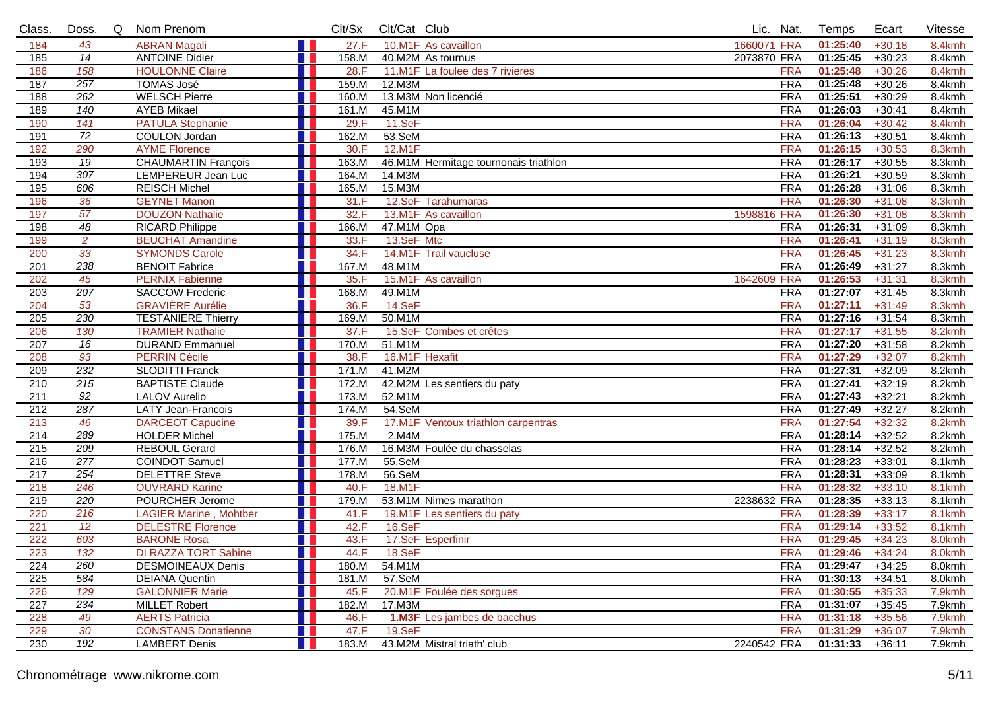| Class.           | Doss.            | Q<br>Nom Prenom                                      | Clt/Sx        | Clt/Cat Club |                                       | Lic. Nat.                | Temps                | Ecart                | Vitesse          |
|------------------|------------------|------------------------------------------------------|---------------|--------------|---------------------------------------|--------------------------|----------------------|----------------------|------------------|
| 184              | 43               | <b>ABRAN Magali</b>                                  | 27.F          |              | 10.M1F As cavaillon                   | 1660071 FRA              | 01:25:40             | $+30:18$             | 8.4kmh           |
| 185              | $\overline{14}$  | <b>ANTOINE Didier</b>                                | 158.M         |              | 40.M2M As tournus                     | 2073870 FRA              | 01:25:45             | $+30:23$             | 8.4kmh           |
| 186              | 158              | <b>HOULONNE Claire</b>                               | 28.F          |              | 11.M1F La foulee des 7 rivieres       | <b>FRA</b>               | 01:25:48             | $+30:26$             | 8.4kmh           |
| 187              | 257              | <b>TOMAS José</b>                                    | 159.M         | 12.M3M       |                                       | <b>FRA</b>               | 01:25:48             | $+30:26$             | 8.4kmh           |
| 188              | 262              | <b>WELSCH Pierre</b>                                 | 160.M         |              | 13.M3M Non licencié                   | <b>FRA</b>               | 01:25:51             | $+30:29$             | 8.4kmh           |
| 189              | 140              | <b>AYEB Mikael</b>                                   | 161.M         | 45.M1M       |                                       | <b>FRA</b>               | 01:26:03             | $+30:41$             | 8.4kmh           |
| 190              | 141              | <b>PATULA Stephanie</b>                              | 29.F          | 11.SeF       |                                       | <b>FRA</b>               | 01:26:04             | $+30:42$             | 8.4kmh           |
| 191              | $\overline{72}$  | <b>COULON Jordan</b>                                 | 162.M         | 53.SeM       |                                       | <b>FRA</b>               | 01:26:13             | $+30:51$             | 8.4kmh           |
| 192              | 290              | <b>AYME Florence</b>                                 | 30.F          | 12.M1F       |                                       | <b>FRA</b>               | 01:26:15             | $+30:53$             | 8.3kmh           |
| 193              | $\overline{19}$  | <b>CHAUMARTIN François</b>                           | 163.M         |              | 46.M1M Hermitage tournonais triathlon | <b>FRA</b>               | 01:26:17             | $+30:55$             | 8.3kmh           |
| 194              | 307              | LEMPEREUR Jean Luc                                   | 164.M         | 14.M3M       |                                       | <b>FRA</b>               | 01:26:21             | $+30:59$             | 8.3kmh           |
| 195              | 606              | <b>REISCH Michel</b>                                 | 165.M         | 15.M3M       |                                       | <b>FRA</b>               | 01:26:28             | $+31:06$             | 8.3kmh           |
| 196              | 36               | <b>GEYNET Manon</b>                                  | 31.F          |              | 12.SeF Tarahumaras                    | <b>FRA</b>               | 01:26:30             | $+31:08$             | 8.3kmh           |
| 197              | 57               | <b>DOUZON Nathalie</b>                               | 32.F          |              | 13.M1F As cavaillon                   | 1598816 FRA              | 01:26:30             | $+31:08$             | 8.3kmh           |
| 198              | 48               | <b>RICARD Philippe</b>                               | 166.M         | 47.M1M Opa   |                                       | <b>FRA</b>               | 01:26:31             | $+31:09$             | 8.3kmh           |
| 199              | $\overline{2}$   | <b>BEUCHAT Amandine</b>                              | 33.F          | 13.SeF Mtc   |                                       | <b>FRA</b>               | 01:26:41             | $+31:19$             | 8.3kmh           |
| 200              | 33               | <b>SYMONDS Carole</b>                                | 34.F          |              | 14.M1F Trail vaucluse                 | <b>FRA</b>               | 01:26:45             | $+31:23$             | 8.3kmh           |
| 201              | 238              | <b>BENOIT Fabrice</b>                                | 167.M         | 48.M1M       |                                       | <b>FRA</b>               | 01:26:49             | $+31:27$             | 8.3kmh           |
| 202              | 45               | <b>PERNIX Fabienne</b>                               | 35.F          |              | 15.M1F As cavaillon                   | 1642609 FRA              | 01:26:53             | $+31:31$             | 8.3kmh           |
| 203              | 207              | <b>SACCOW Frederic</b>                               | 168.M         | 49.M1M       |                                       | <b>FRA</b>               | 01:27:07             | $+31:45$             | 8.3kmh           |
| 204              | 53               | <b>GRAVIÈRE Aurélie</b>                              | 36.F          | 14.SeF       |                                       | <b>FRA</b>               | 01:27:11             | $+31:49$             | 8.3kmh           |
| 205              | 230<br>130       | <b>TESTANIERE Thierry</b><br><b>TRAMIER Nathalie</b> | 169.M         | 50.M1M       |                                       | <b>FRA</b>               | 01:27:16<br>01:27:17 | $+31:54$             | 8.3kmh           |
| 206              | 16               |                                                      | 37.F<br>170.M | 51.M1M       | 15.SeF Combes et crêtes               | <b>FRA</b><br><b>FRA</b> | 01:27:20             | $+31:55$             | 8.2kmh<br>8.2kmh |
| 207              | $\overline{93}$  | <b>DURAND Emmanuel</b><br><b>PERRIN Cécile</b>       | 38.F          |              | 16.M1F Hexafit                        | <b>FRA</b>               | 01:27:29             | $+31:58$             |                  |
| 208<br>209       | 232              | <b>SLODITTI Franck</b>                               | 171.M         | 41.M2M       |                                       | <b>FRA</b>               | 01:27:31             | $+32:07$<br>$+32:09$ | 8.2kmh<br>8.2kmh |
| 210              | 215              | <b>BAPTISTE Claude</b>                               | 172.M         |              | 42.M2M Les sentiers du paty           | <b>FRA</b>               | 01:27:41             | $+32:19$             | 8.2kmh           |
| 211              | $\overline{92}$  | <b>LALOV Aurelio</b>                                 | 173.M         | 52.M1M       |                                       | <b>FRA</b>               | 01:27:43             | $+32:21$             | 8.2kmh           |
| $\overline{212}$ | 287              | <b>LATY Jean-Francois</b>                            | 174.M         | 54.SeM       |                                       | <b>FRA</b>               | 01:27:49             | $+32:27$             | 8.2kmh           |
| 213              | 46               | <b>DARCEOT Capucine</b>                              | 39.F          |              | 17.M1F Ventoux triathlon carpentras   | <b>FRA</b>               | 01:27:54             | $+32:32$             | 8.2kmh           |
| $\overline{214}$ | 289              | <b>HOLDER Michel</b>                                 | 175.M         | 2.M4M        |                                       | <b>FRA</b>               | 01:28:14             | $+32:52$             | 8.2kmh           |
| 215              | 209              | <b>REBOUL Gerard</b>                                 | 176.M         |              | 16.M3M Foulée du chasselas            | <b>FRA</b>               | 01:28:14             | $+32:52$             | 8.2kmh           |
| 216              | $\overline{277}$ | <b>COINDOT Samuel</b>                                | 177.M         | 55.SeM       |                                       | <b>FRA</b>               | 01:28:23             | $+33:01$             | 8.1kmh           |
| 217              | 254              | <b>DELETTRE Steve</b>                                | 178.M         | 56.SeM       |                                       | <b>FRA</b>               | 01:28:31             | $+33:09$             | 8.1kmh           |
| 218              | 246              | <b>OUVRARD Karine</b>                                | 40.F          | 18.M1F       |                                       | <b>FRA</b>               | 01:28:32             | $+33:10$             | 8.1kmh           |
| 219              | 220              | POURCHER Jerome                                      | 179.M         |              | 53.M1M Nimes marathon                 | 2238632 FRA              | 01:28:35             | $+33:13$             | 8.1kmh           |
| 220              | 216              | <b>LAGIER Marine, Mohtber</b>                        | 41.F          |              | 19.M1F Les sentiers du paty           | <b>FRA</b>               | 01:28:39             | $+33:17$             | 8.1kmh           |
| 221              | 12               | <b>DELESTRE Florence</b>                             | 42.F          | 16.SeF       |                                       | <b>FRA</b>               | 01:29:14             | $+33:52$             | 8.1kmh           |
| 222              | 603              | <b>BARONE Rosa</b>                                   | 43.F          |              | 17.SeF Esperfinir                     | <b>FRA</b>               | 01:29:45             | $+34:23$             | 8.0kmh           |
| 223              | $\overline{132}$ | <b>DI RAZZA TORT Sabine</b>                          | 44.F<br>H     | 18.SeF       |                                       | <b>FRA</b>               | $01:29:46$ +34:24    |                      | 8.0kmh           |
| 224              | 260              | <b>DESMOINEAUX Denis</b>                             | 180.M         | 54.M1M       |                                       | FRA                      | 01:29:47             | $+34:25$             | 8.0kmh           |
| 225              | 584              | <b>DEIANA Quentin</b>                                | 181.M         | 57.SeM       |                                       | <b>FRA</b>               | 01:30:13             | $+34:51$             | 8.0kmh           |
| 226              | 129              | <b>GALONNIER Marie</b>                               | 45.F          |              | 20.M1F Foulée des sorgues             | <b>FRA</b>               | 01:30:55             | $+35:33$             | 7.9kmh           |
| 227              | 234              | <b>MILLET Robert</b>                                 | 182.M         | 17.M3M       |                                       | <b>FRA</b>               | 01:31:07             | $+35:45$             | 7.9kmh           |
| 228              | 49               | <b>AERTS Patricia</b>                                | 46.F          |              | <b>1.M3F</b> Les jambes de bacchus    | <b>FRA</b>               | 01:31:18             | $+35:56$             | 7.9kmh           |
| 229              | 30               | <b>CONSTANS Donatienne</b>                           | 47.F          | 19.SeF       |                                       | <b>FRA</b>               | 01:31:29             | $+36:07$             | 7.9kmh           |
| 230              | 192              | <b>LAMBERT Denis</b>                                 | 183.M         |              | 43.M2M Mistral triath' club           | 2240542 FRA              | 01:31:33             | $+36:11$             | 7.9kmh           |
|                  |                  |                                                      |               |              |                                       |                          |                      |                      |                  |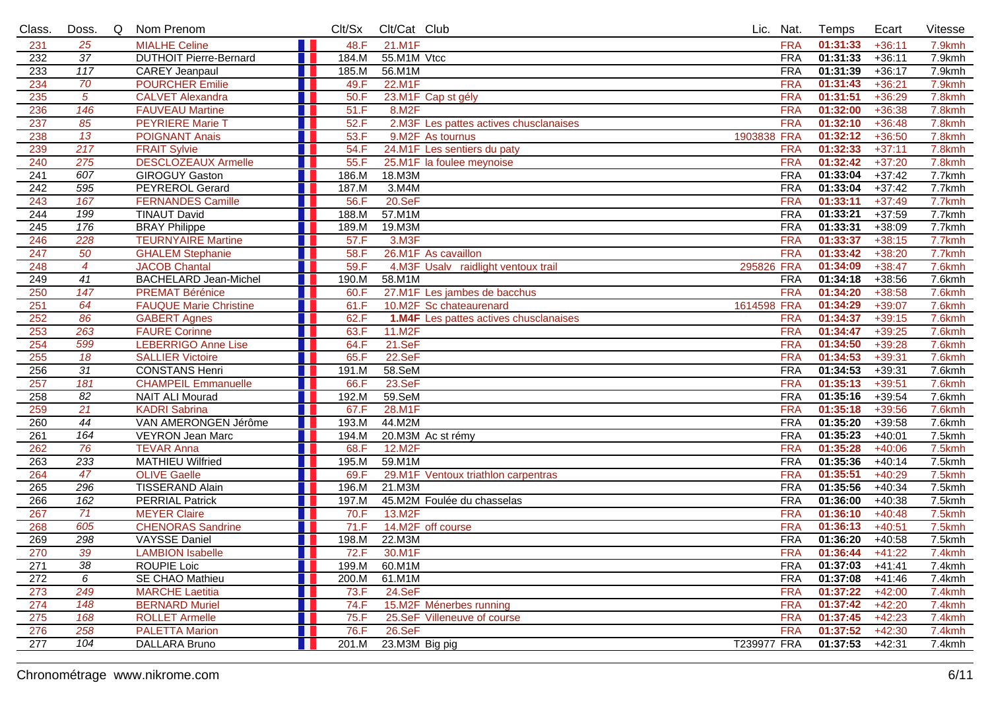| Class.           | Doss.            | Q | Nom Prenom                    |       | Clt/Sx | Clt/Cat Club       |                                               |                    | Lic. Nat.  | Temps             | Ecart    | Vitesse |
|------------------|------------------|---|-------------------------------|-------|--------|--------------------|-----------------------------------------------|--------------------|------------|-------------------|----------|---------|
| 231              | 25               |   | <b>MIALHE Celine</b>          | n l   | 48.F   | 21.M1F             |                                               |                    | <b>FRA</b> | 01:31:33          | $+36:11$ | 7.9kmh  |
| 232              | $\overline{37}$  |   | <b>DUTHOIT Pierre-Bernard</b> |       | 184.M  | 55.M1M Vtcc        |                                               |                    | <b>FRA</b> | 01:31:33          | $+36:11$ | 7.9kmh  |
| 233              | $\overline{117}$ |   | <b>CAREY Jeanpaul</b>         |       | 185.M  | 56.M1M             |                                               |                    | <b>FRA</b> | 01:31:39          | $+36:17$ | 7.9kmh  |
| 234              | 70               |   | <b>POURCHER Emilie</b>        |       | 49.F   | 22.M1F             |                                               |                    | <b>FRA</b> | 01:31:43          | $+36:21$ | 7.9kmh  |
| 235              | $\sqrt{5}$       |   | <b>CALVET Alexandra</b>       |       | 50.F   |                    | 23.M1F Cap st gély                            |                    | <b>FRA</b> | 01:31:51          | $+36:29$ | 7.8kmh  |
| 236              | 146              |   | <b>FAUVEAU Martine</b>        |       | 51.F   | 8.M2F              |                                               |                    | <b>FRA</b> | 01:32:00          | $+36:38$ | 7.8kmh  |
| 237              | 85               |   | <b>PEYRIERE Marie T</b>       |       | 52.F   |                    | 2.M3F Les pattes actives chusclanaises        |                    | <b>FRA</b> | 01:32:10          | $+36:48$ | 7.8kmh  |
| 238              | 13               |   | <b>POIGNANT Anais</b>         |       | 53.F   |                    | 9.M2F As tournus                              | 1903838 FRA        |            | 01:32:12          | $+36:50$ | 7.8kmh  |
| 239              | 217              |   | <b>FRAIT Sylvie</b>           |       | 54.F   |                    | 24.M1F Les sentiers du paty                   |                    | <b>FRA</b> | 01:32:33          | $+37:11$ | 7.8kmh  |
| 240              | 275              |   | <b>DESCLOZEAUX Armelle</b>    | H.    | 55.F   |                    | 25.M1F la foulee meynoise                     |                    | <b>FRA</b> | 01:32:42          | $+37:20$ | 7.8kmh  |
| 241              | 607              |   | <b>GIROGUY Gaston</b>         |       | 186.M  | 18.M3M             |                                               |                    | <b>FRA</b> | 01:33:04          | $+37:42$ | 7.7kmh  |
| 242              | 595              |   | <b>PEYREROL Gerard</b>        |       | 187.M  | 3. M4M             |                                               |                    | <b>FRA</b> | 01:33:04          | $+37:42$ | 7.7kmh  |
| 243              | 167              |   | <b>FERNANDES Camille</b>      |       | 56.F   | 20.5eF             |                                               |                    | <b>FRA</b> | 01:33:11          | $+37:49$ | 7.7kmh  |
| 244              | 199              |   | <b>TINAUT David</b>           |       | 188.M  | 57.M1M             |                                               |                    | <b>FRA</b> | 01:33:21          | $+37:59$ | 7.7kmh  |
| $\overline{245}$ | 176              |   | <b>BRAY Philippe</b>          |       | 189.M  | 19.M3M             |                                               |                    | <b>FRA</b> | 01:33:31          | $+38:09$ | 7.7kmh  |
| 246              | 228              |   | <b>TEURNYAIRE Martine</b>     | T F   | 57.F   | 3.M <sub>3</sub> F |                                               |                    | <b>FRA</b> | 01:33:37          | $+38:15$ | 7.7kmh  |
| 247              | 50               |   | <b>GHALEM Stephanie</b>       |       | 58.F   |                    | 26.M1F As cavaillon                           |                    | <b>FRA</b> | 01:33:42          | $+38:20$ | 7.7kmh  |
| 248              | $\overline{4}$   |   | <b>JACOB Chantal</b>          |       | 59.F   |                    | 4.M3F Usalv raidlight ventoux trail           | 295826 FRA         |            | 01:34:09          | $+38:47$ | 7.6kmh  |
| 249              | $\overline{41}$  |   | <b>BACHELARD Jean-Michel</b>  |       | 190.M  | 58.M1M             |                                               |                    | <b>FRA</b> | 01:34:18          | $+38:56$ | 7.6kmh  |
| 250              | 147              |   | <b>PREMAT Bérénice</b>        |       | 60.F   |                    | 27.M1F Les jambes de bacchus                  |                    | <b>FRA</b> | 01:34:20          | $+38:58$ | 7.6kmh  |
| 251              | 64               |   | <b>FAUQUE Marie Christine</b> |       | 61.F   |                    | 10.M2F Sc chateaurenard                       | 1614598 FRA        |            | 01:34:29          | $+39:07$ | 7.6kmh  |
| 252              | 86               |   | <b>GABERT Agnes</b>           |       | 62.F   |                    | <b>1.M4F</b> Les pattes actives chusclanaises |                    | <b>FRA</b> | 01:34:37          | $+39:15$ | 7.6kmh  |
| 253              | 263              |   | <b>FAURE Corinne</b>          |       | 63.F   | 11.M2F             |                                               |                    | <b>FRA</b> | 01:34:47          | $+39:25$ | 7.6kmh  |
| 254              | 599              |   | <b>LEBERRIGO Anne Lise</b>    |       | 64.F   | $21.$ Se $F$       |                                               |                    | <b>FRA</b> | 01:34:50          | $+39:28$ | 7.6kmh  |
| 255              | 18               |   | <b>SALLIER Victoire</b>       |       | 65.F   | 22.SeF             |                                               |                    | <b>FRA</b> | 01:34:53          | $+39:31$ | 7.6kmh  |
| 256              | $\overline{31}$  |   | <b>CONSTANS Henri</b>         |       | 191.M  | 58.SeM             |                                               |                    | <b>FRA</b> | 01:34:53          | $+39:31$ | 7.6kmh  |
| 257              | 181              |   | <b>CHAMPEIL Emmanuelle</b>    |       | 66.F   | 23.SeF             |                                               |                    | <b>FRA</b> | 01:35:13          | $+39:51$ | 7.6kmh  |
| 258              | 82               |   | <b>NAIT ALI Mourad</b>        |       | 192.M  | 59.SeM             |                                               |                    | <b>FRA</b> | 01:35:16          | $+39:54$ | 7.6kmh  |
| 259              | 21               |   | <b>KADRI Sabrina</b>          |       | 67.F   | 28.M1F             |                                               |                    | <b>FRA</b> | 01:35:18          | $+39:56$ | 7.6kmh  |
| 260              | 44               |   | VAN AMERONGEN Jérôme          |       | 193.M  | 44.M2M             |                                               |                    | <b>FRA</b> | 01:35:20          | $+39:58$ | 7.6kmh  |
| 261              | 164              |   | <b>VEYRON Jean Marc</b>       |       | 194.M  |                    | 20.M3M Ac st rémy                             |                    | <b>FRA</b> | 01:35:23          | $+40:01$ | 7.5kmh  |
| 262              | 76               |   | <b>TEVAR Anna</b>             |       | 68.F   | 12.M2F             |                                               |                    | <b>FRA</b> | 01:35:28          | $+40:06$ | 7.5kmh  |
| 263              | 233              |   | <b>MATHIEU Wilfried</b>       |       | 195.M  | 59.M1M             |                                               |                    | <b>FRA</b> | 01:35:36          | $+40:14$ | 7.5kmh  |
| 264              | 47               |   | <b>OLIVE Gaelle</b>           |       | 69.F   |                    | 29.M1F Ventoux triathlon carpentras           |                    | <b>FRA</b> | 01:35:51          | $+40:29$ | 7.5kmh  |
| 265              | 296              |   | <b>TISSERAND Alain</b>        |       | 196.M  | 21.M3M             |                                               |                    | <b>FRA</b> | 01:35:56          | $+40:34$ | 7.5kmh  |
| 266              | 162              |   | <b>PERRIAL Patrick</b>        |       | 197.M  |                    | 45.M2M Foulée du chasselas                    |                    | <b>FRA</b> | 01:36:00          | $+40:38$ | 7.5kmh  |
| 267              | 71               |   | <b>MEYER Claire</b>           |       | 70.F   | 13.M2F             |                                               |                    | <b>FRA</b> | 01:36:10          | $+40:48$ | 7.5kmh  |
| 268              | 605              |   | <b>CHENORAS Sandrine</b>      |       | 71.F   |                    | 14.M2F off course                             |                    | <b>FRA</b> | 01:36:13          | $+40:51$ | 7.5kmh  |
| 269              | 298              |   | VAYSSE Daniel                 |       | 198.M  | 22.M3M             |                                               |                    | <b>FRA</b> | 01:36:20          | $+40:58$ | 7.5kmh  |
| 270              | 39               |   | <b>LAMBION Isabelle</b>       | n Bir | 72.F   | 30.M1F             |                                               |                    | <b>FRA</b> | $01:36:44$ +41:22 |          | 7.4kmh  |
| 271              | 38               |   | ROUPIE Loic                   |       | 199.M  | 60.M1M             |                                               |                    | <b>FRA</b> | 01:37:03          | $+41:41$ | 7.4kmh  |
| 272              | 6                |   | <b>SE CHAO Mathieu</b>        |       | 200.M  | 61.M1M             |                                               |                    | <b>FRA</b> | 01:37:08          | $+41:46$ | 7.4kmh  |
| 273              | 249              |   | <b>MARCHE Laetitia</b>        |       | 73.F   | 24.SeF             |                                               |                    | <b>FRA</b> | 01:37:22          | $+42:00$ | 7.4kmh  |
| 274              | 148              |   | <b>BERNARD Muriel</b>         |       | 74.F   |                    | 15.M2F Ménerbes running                       |                    | <b>FRA</b> | 01:37:42          | $+42:20$ | 7.4kmh  |
| 275              | 168              |   | <b>ROLLET Armelle</b>         |       | 75.F   |                    | 25.SeF Villeneuve of course                   |                    | <b>FRA</b> | 01:37:45          | $+42:23$ | 7.4kmh  |
| 276              | 258              |   | <b>PALETTA Marion</b>         |       | 76.F   | 26.SeF             |                                               |                    | <b>FRA</b> | 01:37:52          | $+42:30$ | 7.4kmh  |
| 277              | 104              |   | DALLARA Bruno                 |       | 201.M  | 23.M3M Big pig     |                                               | <b>T239977 FRA</b> |            | 01:37:53          | $+42:31$ | 7.4kmh  |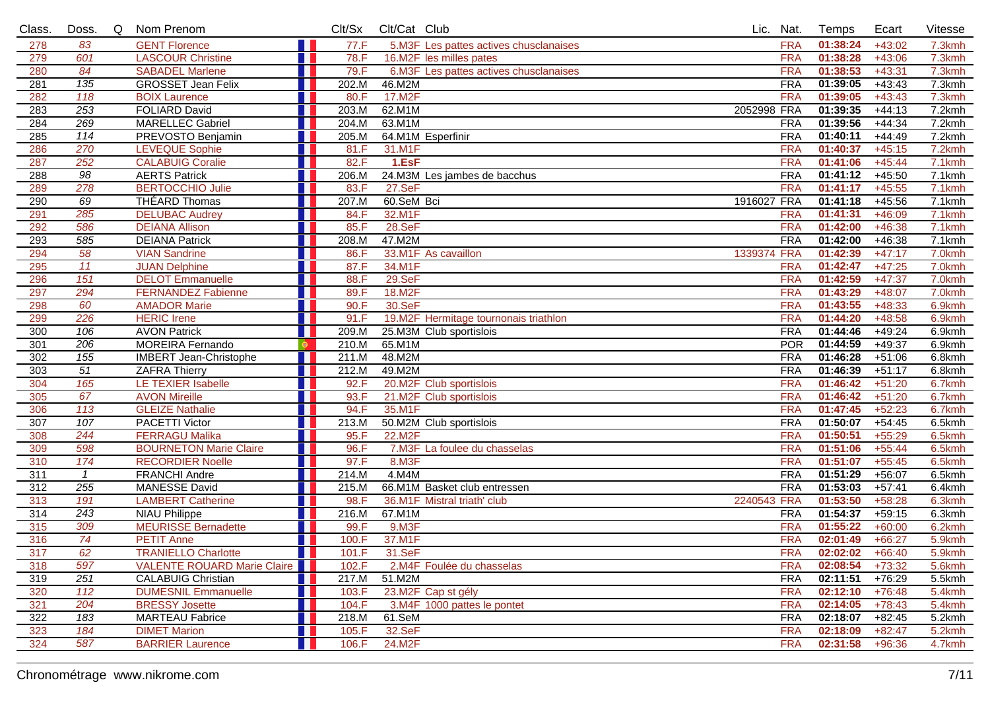| Class. | Doss.           | Q | Nom Prenom                    | Clt/Sx                    | Clt/Cat Club |                                        | Lic. Nat.   |            | Temps             | Ecart    | Vitesse   |
|--------|-----------------|---|-------------------------------|---------------------------|--------------|----------------------------------------|-------------|------------|-------------------|----------|-----------|
| 278    | 83              |   | <b>GENT Florence</b>          | H<br>77.F                 |              | 5.M3F Les pattes actives chusclanaises |             | <b>FRA</b> | 01:38:24          | $+43:02$ | 7.3kmh    |
| 279    | 601             |   | <b>LASCOUR Christine</b>      | 78.F                      |              | 16.M2F les milles pates                |             | <b>FRA</b> | 01:38:28          | $+43:06$ | 7.3kmh    |
| 280    | 84              |   | <b>SABADEL Marlene</b>        | 79.F                      |              | 6.M3F Les pattes actives chusclanaises |             | <b>FRA</b> | 01:38:53          | $+43:31$ | 7.3kmh    |
| 281    | 135             |   | <b>GROSSET Jean Felix</b>     | 202.M                     | 46.M2M       |                                        |             | <b>FRA</b> | 01:39:05          | $+43:43$ | 7.3kmh    |
| 282    | 118             |   | <b>BOIX</b> Laurence          | 80.F                      | 17.M2F       |                                        |             | <b>FRA</b> | 01:39:05          | $+43:43$ | 7.3kmh    |
| 283    | 253             |   | <b>FOLIARD David</b>          | 203.M                     | 62.M1M       |                                        | 2052998 FRA |            | 01:39:35          | $+44:13$ | 7.2kmh    |
| 284    | 269             |   | <b>MARELLEC Gabriel</b>       | 204.M                     | 63.M1M       |                                        |             | <b>FRA</b> | 01:39:56          | $+44:34$ | 7.2kmh    |
| 285    | 114             |   | PREVOSTO Benjamin             | 205.M                     |              | 64.M1M Esperfinir                      |             | <b>FRA</b> | 01:40:11          | $+44:49$ | 7.2kmh    |
| 286    | 270             |   | <b>LEVEQUE Sophie</b>         | 81.F                      | 31.M1F       |                                        |             | <b>FRA</b> | 01:40:37          | $+45:15$ | 7.2kmh    |
| 287    | 252             |   | <b>CALABUIG Coralie</b>       | 82.F                      | 1.EsF        |                                        |             | <b>FRA</b> | 01:41:06          | $+45:44$ | 7.1kmh    |
| 288    | $\overline{98}$ |   | <b>AERTS Patrick</b>          | 206.M                     |              | 24.M3M Les jambes de bacchus           |             | <b>FRA</b> | 01:41:12          | $+45:50$ | 7.1kmh    |
| 289    | 278             |   | <b>BERTOCCHIO Julie</b>       | 83.F                      | 27.SeF       |                                        |             | <b>FRA</b> | 01:41:17          | $+45:55$ | 7.1kmh    |
| 290    | 69              |   | <b>THÉARD Thomas</b>          | 207.M                     | 60.SeM Bci   |                                        | 1916027 FRA |            | 01:41:18          | $+45:56$ | 7.1kmh    |
| 291    | 285             |   | <b>DELUBAC Audrey</b>         | 84.F                      | 32.M1F       |                                        |             | <b>FRA</b> | 01:41:31          | $+46:09$ | 7.1kmh    |
| 292    | 586             |   | <b>DEIANA Allison</b>         | 85.F                      | 28.SeF       |                                        |             | <b>FRA</b> | 01:42:00          | $+46:38$ | 7.1kmh    |
| 293    | 585             |   | <b>DEIANA Patrick</b>         | 208.M                     | 47.M2M       |                                        |             | <b>FRA</b> | 01:42:00          | $+46:38$ | 7.1kmh    |
| 294    | 58              |   | <b>VIAN Sandrine</b>          | 86.F                      |              | 33.M1F As cavaillon                    | 1339374 FRA |            | 01:42:39          | $+47:17$ | 7.0kmh    |
| 295    | 11              |   | <b>JUAN Delphine</b>          | 87.F                      | 34.M1F       |                                        |             | <b>FRA</b> | 01:42:47          | $+47:25$ | 7.0kmh    |
| 296    | 151             |   | <b>DELOT</b> Emmanuelle       | 88.F                      | 29.SeF       |                                        |             | <b>FRA</b> | 01:42:59          | $+47:37$ | 7.0kmh    |
| 297    | 294             |   | <b>FERNANDEZ Fabienne</b>     | 89.F                      | 18.M2F       |                                        |             | <b>FRA</b> | 01:43:29          | $+48:07$ | 7.0kmh    |
| 298    | 60              |   | <b>AMADOR Marie</b>           | 90.F                      | 30.SeF       |                                        |             | <b>FRA</b> | 01:43:55          | $+48:33$ | 6.9kmh    |
| 299    | 226             |   | <b>HERIC</b> Irene            | 91.F                      |              | 19.M2F Hermitage tournonais triathlon  |             | <b>FRA</b> | 01:44:20          | $+48:58$ | 6.9kmh    |
| 300    | 106             |   | <b>AVON Patrick</b>           | 209.M                     |              | 25.M3M Club sportislois                |             | <b>FRA</b> | 01:44:46          | $+49:24$ | 6.9kmh    |
| 301    | 206             |   | <b>MOREIRA Fernando</b>       | 210.M<br>$\bullet$        | 65.M1M       |                                        |             | <b>POR</b> | 01:44:59          | $+49:37$ | 6.9kmh    |
| 302    | 155             |   | <b>IMBERT Jean-Christophe</b> | 211.M                     | 48.M2M       |                                        |             | <b>FRA</b> | 01:46:28          | $+51:06$ | 6.8kmh    |
| 303    | $\overline{51}$ |   | <b>ZAFRA Thierry</b>          | 212.M                     | 49.M2M       |                                        |             | <b>FRA</b> | 01:46:39          | $+51:17$ | $6.8$ kmh |
| 304    | 165             |   | LE TEXIER Isabelle            | 92.F                      |              | 20.M2F Club sportislois                |             | <b>FRA</b> | 01:46:42          | $+51:20$ | 6.7kmh    |
| 305    | 67              |   | <b>AVON Mireille</b>          | 93.F                      |              | 21.M2F Club sportislois                |             | <b>FRA</b> | 01:46:42          | $+51:20$ | 6.7kmh    |
| 306    | 113             |   | <b>GLEIZE Nathalie</b>        | 94.F                      | 35.M1F       |                                        |             | <b>FRA</b> | 01:47:45          | $+52:23$ | 6.7kmh    |
| 307    | 107             |   | <b>PACETTI Victor</b>         | 213.M                     |              | 50.M2M Club sportislois                |             | <b>FRA</b> | 01:50:07          | $+54:45$ | 6.5kmh    |
| 308    | 244             |   | <b>FERRAGU Malika</b>         | 95.F                      | 22.M2F       |                                        |             | <b>FRA</b> | 01:50:51          | $+55:29$ | 6.5kmh    |
| 309    | 598             |   | <b>BOURNETON Marie Claire</b> | 96.F                      |              | 7.M3F La foulee du chasselas           |             | <b>FRA</b> | 01:51:06          | $+55:44$ | 6.5kmh    |
| 310    | 174             |   | <b>RECORDIER Noelle</b>       | 97.F                      | 8.M3F        |                                        |             | <b>FRA</b> | 01:51:07          | $+55:45$ | 6.5kmh    |
| 311    | $\overline{1}$  |   | <b>FRANCHI Andre</b>          | 214.M                     | 4.M4M        |                                        |             | <b>FRA</b> | 01:51:29          | $+56:07$ | 6.5kmh    |
| 312    | 255             |   | <b>MANESSE David</b>          | 215.M                     |              | 66.M1M Basket club entressen           |             | <b>FRA</b> | 01:53:03          | $+57:41$ | 6.4kmh    |
| 313    | 191             |   | <b>LAMBERT Catherine</b>      | 98.F                      |              | 36.M1F Mistral triath' club            | 2240543 FRA |            | 01:53:50          | $+58:28$ | 6.3kmh    |
| 314    | 243             |   | <b>NIAU Philippe</b>          | 216.M                     | 67.M1M       |                                        |             | <b>FRA</b> | 01:54:37          | $+59:15$ | 6.3kmh    |
| 315    | 309             |   | <b>MEURISSE Bernadette</b>    | 99.F                      | $9.$ M3F     |                                        |             | <b>FRA</b> | 01:55:22          | $+60:00$ | 6.2kmh    |
| 316    | 74              |   | <b>PETIT Anne</b>             | 100.F                     | 37.M1F       |                                        |             | <b>FRA</b> | 02:01:49          | $+66:27$ | 5.9kmh    |
| 317    | 62              |   | <b>TRANIELLO Charlotte</b>    | 101.F<br><b>TERRITORY</b> | 31.SeF       |                                        |             | <b>FRA</b> | $02:02:02$ +66:40 |          | 5.9kmh    |
| 318    | 597             |   | VALENTE ROUARD Marie Claire   | 102.F                     |              | 2.M4F Foulée du chasselas              |             | <b>FRA</b> | 02:08:54          | $+73:32$ | 5.6kmh    |
| 319    | 251             |   | <b>CALABUIG Christian</b>     | 217.M                     | 51.M2M       |                                        |             | <b>FRA</b> | 02:11:51          | $+76:29$ | 5.5kmh    |
| 320    | 112             |   | <b>DUMESNIL Emmanuelle</b>    | 103.F                     |              | 23.M2F Cap st gély                     |             | <b>FRA</b> | 02:12:10          | $+76:48$ | 5.4kmh    |
| 321    | 204             |   | <b>BRESSY Josette</b>         | 104.F                     |              | 3.M4F 1000 pattes le pontet            |             | <b>FRA</b> | 02:14:05          | $+78:43$ | 5.4kmh    |
| 322    | 183             |   | <b>MARTEAU Fabrice</b>        | 218.M                     | 61.SeM       |                                        |             | <b>FRA</b> | 02:18:07          | +82:45   | 5.2kmh    |
| 323    | 184             |   | <b>DIMET Marion</b>           | 105.F                     | 32.SeF       |                                        |             | <b>FRA</b> | 02:18:09          | $+82:47$ | 5.2kmh    |
| 324    | 587             |   | <b>BARRIER Laurence</b>       | 106.F                     | 24.M2F       |                                        |             | <b>FRA</b> | 02:31:58          | $+96:36$ | 4.7kmh    |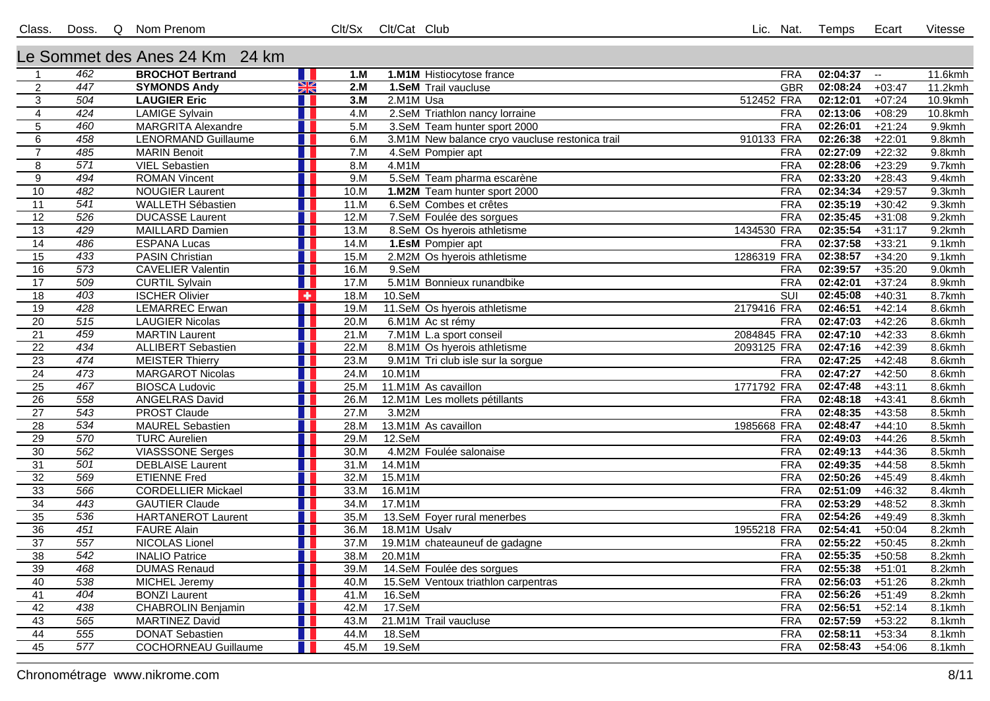## Le Sommet des Anes 24 Km 24 km

| X<br>447<br><b>SYMONDS Andy</b><br>2.M<br><b>GBR</b><br>02:08:24<br>$\overline{a}$<br>1.SeM Trail vaucluse<br>11.2kmh<br>$+03:47$<br>3.M<br>512452 FRA<br>02:12:01<br>10.9kmh<br>$\overline{3}$<br>504<br><b>LAUGIER Eric</b><br>2.M1M Usa<br>$+07:24$<br>02:13:06<br>424<br><b>LAMIGE Sylvain</b><br>4.M<br>2.SeM Triathlon nancy lorraine<br>$+08:29$<br>10.8kmh<br>$\overline{4}$<br>H I<br><b>FRA</b><br>$\overline{5}$<br><b>MARGRITA Alexandre</b><br>5.M<br><b>FRA</b><br>02:26:01<br>9.9kmh<br>460<br>3.SeM Team hunter sport 2000<br>$+21:24$<br>458<br>02:26:38<br>$\overline{6}$<br><b>LENORMAND Guillaume</b><br>6.M<br>910133 FRA<br>$+22:01$<br>9.8kmh<br>3.M1M New balance cryo vaucluse restonica trail<br>02:27:09<br>$\overline{7}$<br>485<br><b>MARIN</b> Benoit<br>7.M<br>$+22:32$<br>9.8kmh<br>4.SeM Pompier apt<br><b>FRA</b><br>02:28:06<br>8<br>571<br><b>VIEL Sebastien</b><br>8.M<br>4.M1M<br><b>FRA</b><br>$+23:29$<br>9.7kmh<br>9<br>494<br><b>ROMAN Vincent</b><br>9.M<br>5.SeM Team pharma escarène<br><b>FRA</b><br>02:33:20<br>$+28:43$<br>9.4kmh<br>02:34:34<br>482<br><b>NOUGIER Laurent</b><br>9.3kmh<br>10<br>H<br>10.M<br>1.M2M Team hunter sport 2000<br><b>FRA</b><br>$+29:57$<br>02:35:19<br>11<br>$\overline{541}$<br><b>WALLETH Sébastien</b><br>11.M<br>6.SeM Combes et crêtes<br><b>FRA</b><br>$+30:42$<br>9.3kmh<br>02:35:45<br>$\overline{12}$<br>526<br><b>FRA</b><br><b>DUCASSE Laurent</b><br>12.M<br>7.SeM Foulée des sorgues<br>$+31:08$<br>$9.2$ kmh<br>02:35:54<br>13<br><b>MAILLARD Damien</b><br>1434530 FRA<br>9.2kmh<br>429<br>13.M<br>8.SeM Os hyerois athletisme<br>$+31:17$<br>02:37:58<br>14<br>486<br>$9.1$ kmh<br><b>ESPANA Lucas</b><br>14.M<br>1.EsM Pompier apt<br><b>FRA</b><br>$+33:21$<br>15<br>433<br>PASIN Christian<br>15.M<br>1286319 FRA<br>02:38:57<br>$9.1$ km h<br>2.M2M Os hyerois athletisme<br>$+34:20$<br>573<br><b>CAVELIER Valentin</b><br>02:39:57<br>16<br>16.M<br><b>FRA</b><br>$+35:20$<br>$9.0$ kmh<br>9.SeM<br>17<br>509<br>02:42:01<br><b>CURTIL Sylvain</b><br>17.M<br>5.M1M Bonnieux runandbike<br><b>FRA</b><br>$+37:24$<br>8.9kmh<br>403<br>02:45:08<br>$\overline{18}$<br><b>ISCHER Olivier</b><br>18.M<br>$10.$ SeM<br>SUI<br>$+40:31$<br>8.7kmh<br>٠<br>2179416 FRA<br>02:46:51<br>19<br>428<br><b>LEMARREC Erwan</b><br>19.M<br>11.SeM Os hyerois athletisme<br>$+42:14$<br>8.6kmh<br>515<br>02:47:03<br>$\overline{20}$<br><b>LAUGIER Nicolas</b><br>20.M<br><b>FRA</b><br>$+42:26$<br>8.6kmh<br>H I<br>6.M1M Ac st rémy<br>459<br><b>MARTIN Laurent</b><br>2084845 FRA<br>02:47:10<br>$+42:33$<br>$\overline{21}$<br>21.M<br>7.M1M L.a sport conseil<br>8.6kmh<br>02:47:16<br>$\overline{22}$<br>434<br><b>ALLIBERT Sebastien</b><br>22.M<br>2093125 FRA<br>$+42:39$<br>8.6kmh<br>8.M1M Os hyerois athletisme<br>$\overline{23}$<br>474<br><b>MEISTER Thierry</b><br>23.M<br><b>FRA</b><br>02:47:25<br>$+42:48$<br>8.6kmh<br>9.M1M Tri club isle sur la sorgue<br>473<br>02:47:27<br>$\overline{24}$<br><b>MARGAROT Nicolas</b><br>24.M<br>10.M1M<br><b>FRA</b><br>$+42:50$<br>8.6kmh<br>25<br><b>BIOSCA Ludovic</b><br>11.M1M As cavaillon<br>1771792 FRA<br>02:47:48<br>467<br>25.M<br>$+43:11$<br>8.6kmh<br>558<br>$\overline{26}$<br><b>ANGELRAS David</b><br><b>FRA</b><br>02:48:18<br>26.M<br>12.M1M Les mollets pétillants<br>$+43:41$<br>8.6kmh<br>543<br><b>PROST Claude</b><br>02:48:35<br>$\overline{27}$<br>27.M<br>3.M2M<br><b>FRA</b><br>$+43:58$<br>8.5kmh<br>$\overline{28}$<br>28.M<br>1985668 FRA<br>02:48:47<br>534<br><b>MAUREL Sebastien</b><br>13.M1M As cavaillon<br>$+44:10$<br>8.5kmh<br>570<br>29<br><b>TURC Aurelien</b><br>29.M<br>12.SeM<br><b>FRA</b><br>02:49:03<br>$+44:26$<br>8.5kmh<br>562<br>$\overline{30}$<br><b>VIASSSONE Serges</b><br>4.M2M Foulée salonaise<br>02:49:13<br>8.5kmh<br>30.M<br><b>FRA</b><br>$+44:36$<br>H.<br>$\overline{31}$<br>501<br><b>DEBLAISE Laurent</b><br>31.M<br>14.M1M<br><b>FRA</b><br>02:49:35<br>8.5kmh<br>$+44:58$<br>$\overline{32}$<br>569<br><b>ETIENNE Fred</b><br>15.M1M<br><b>FRA</b><br>02:50:26<br>32.M<br>$+45:49$<br>8.4kmh<br>566<br><b>CORDELLIER Mickael</b><br>16.M1M<br>02:51:09<br>33<br>33.M<br><b>FRA</b><br>$+46:32$<br>8.4kmh<br>$\overline{34}$<br>02:53:29<br>443<br><b>GAUTIER Claude</b><br>34.M<br>17.M1M<br><b>FRA</b><br>$+48:52$<br>8.3kmh<br>$\overline{35}$<br>536<br><b>FRA</b><br>02:54:26<br><b>HARTANEROT Laurent</b><br>35.M<br>13.SeM Foyer rural menerbes<br>$+49:49$<br>8.3kmh<br><b>FAURE Alain</b><br>1955218 FRA<br>02:54:41<br>$\overline{36}$<br>451<br>36.M<br>18.M1M Usalv<br>$+50:04$<br>8.2kmh<br>37<br>557<br>02:55:22<br><b>NICOLAS Lionel</b><br>37.M<br>19.M1M chateauneuf de gadagne<br><b>FRA</b><br>$+50:45$<br>8.2kmh<br>$\overline{38}$<br>542<br>02:55:35<br><b>INALIO Patrice</b><br>38.M<br>20.M1M<br><b>FRA</b><br>$+50:58$<br>8.2kmh<br>02:55:38<br>39<br>468<br><b>DUMAS Renaud</b><br>39.M<br>14.SeM Foulée des sorgues<br><b>FRA</b><br>$+51:01$<br>8.2kmh<br>40<br>538<br>02:56:03<br>$+51:26$<br>MICHEL Jeremy<br>40.M<br><b>FRA</b><br>8.2kmh<br>15.SeM Ventoux triathlon carpentras<br>02:56:26<br>404<br><b>BONZI Laurent</b><br>16.SeM<br><b>FRA</b><br>$+51:49$<br>$\overline{41}$<br>41.M<br>8.2kmh<br>$\overline{42}$<br>17.SeM<br><b>FRA</b><br>02:56:51<br>438<br><b>CHABROLIN Benjamin</b><br>42.M<br>$+52:14$<br>8.1kmh<br>565<br>43<br><b>MARTINEZ David</b><br>$43 \overline{\text{M}}$<br><b>FRA</b><br>02:57:59<br>$+53:22$<br>8.1kmh<br>21.M1M Trail vaucluse<br>555<br>02:58:11<br>44<br><b>DONAT Sebastien</b><br>44.M<br>18.SeM<br><b>FRA</b><br>$+53:34$<br>8.1kmh<br><b>FRA</b><br>02:58:43<br>45<br>$\overline{577}$<br><b>COCHORNEAU Guillaume</b><br>45.M<br>19.SeM<br>$+54:06$<br>8.1kmh | $\overline{1}$ | 462 | <b>BROCHOT Bertrand</b> | 1.5 <sub>M</sub> | 1.M1M Histiocytose france | <b>FRA</b> | 02:04:37 | $\sim$ | 11.6kmh |
|----------------------------------------------------------------------------------------------------------------------------------------------------------------------------------------------------------------------------------------------------------------------------------------------------------------------------------------------------------------------------------------------------------------------------------------------------------------------------------------------------------------------------------------------------------------------------------------------------------------------------------------------------------------------------------------------------------------------------------------------------------------------------------------------------------------------------------------------------------------------------------------------------------------------------------------------------------------------------------------------------------------------------------------------------------------------------------------------------------------------------------------------------------------------------------------------------------------------------------------------------------------------------------------------------------------------------------------------------------------------------------------------------------------------------------------------------------------------------------------------------------------------------------------------------------------------------------------------------------------------------------------------------------------------------------------------------------------------------------------------------------------------------------------------------------------------------------------------------------------------------------------------------------------------------------------------------------------------------------------------------------------------------------------------------------------------------------------------------------------------------------------------------------------------------------------------------------------------------------------------------------------------------------------------------------------------------------------------------------------------------------------------------------------------------------------------------------------------------------------------------------------------------------------------------------------------------------------------------------------------------------------------------------------------------------------------------------------------------------------------------------------------------------------------------------------------------------------------------------------------------------------------------------------------------------------------------------------------------------------------------------------------------------------------------------------------------------------------------------------------------------------------------------------------------------------------------------------------------------------------------------------------------------------------------------------------------------------------------------------------------------------------------------------------------------------------------------------------------------------------------------------------------------------------------------------------------------------------------------------------------------------------------------------------------------------------------------------------------------------------------------------------------------------------------------------------------------------------------------------------------------------------------------------------------------------------------------------------------------------------------------------------------------------------------------------------------------------------------------------------------------------------------------------------------------------------------------------------------------------------------------------------------------------------------------------------------------------------------------------------------------------------------------------------------------------------------------------------------------------------------------------------------------------------------------------------------------------------------------------------------------------------------------------------------------------------------------------------------------------------------------------------------------------------------------------------------------------------------------------------------------------------------------------------------------------------------------------------------------------------------------------------------------------------------------------------------------------------------------------------------------------------------------------------------------------------------------------------------------------------------------------------------------------------------------------------------------------------------------------------------------------------------------------------------------------------------------------------------------------------------------------------------------------------------------------------------------------------------------------------------------------------------------------------------------------------------------------------------------------------------------------|----------------|-----|-------------------------|------------------|---------------------------|------------|----------|--------|---------|
|                                                                                                                                                                                                                                                                                                                                                                                                                                                                                                                                                                                                                                                                                                                                                                                                                                                                                                                                                                                                                                                                                                                                                                                                                                                                                                                                                                                                                                                                                                                                                                                                                                                                                                                                                                                                                                                                                                                                                                                                                                                                                                                                                                                                                                                                                                                                                                                                                                                                                                                                                                                                                                                                                                                                                                                                                                                                                                                                                                                                                                                                                                                                                                                                                                                                                                                                                                                                                                                                                                                                                                                                                                                                                                                                                                                                                                                                                                                                                                                                                                                                                                                                                                                                                                                                                                                                                                                                                                                                                                                                                                                                                                                                                                                                                                                                                                                                                                                                                                                                                                                                                                                                                                                                                                                                                                                                                                                                                                                                                                                                                                                                                                                                                                                                                                |                |     |                         |                  |                           |            |          |        |         |
|                                                                                                                                                                                                                                                                                                                                                                                                                                                                                                                                                                                                                                                                                                                                                                                                                                                                                                                                                                                                                                                                                                                                                                                                                                                                                                                                                                                                                                                                                                                                                                                                                                                                                                                                                                                                                                                                                                                                                                                                                                                                                                                                                                                                                                                                                                                                                                                                                                                                                                                                                                                                                                                                                                                                                                                                                                                                                                                                                                                                                                                                                                                                                                                                                                                                                                                                                                                                                                                                                                                                                                                                                                                                                                                                                                                                                                                                                                                                                                                                                                                                                                                                                                                                                                                                                                                                                                                                                                                                                                                                                                                                                                                                                                                                                                                                                                                                                                                                                                                                                                                                                                                                                                                                                                                                                                                                                                                                                                                                                                                                                                                                                                                                                                                                                                |                |     |                         |                  |                           |            |          |        |         |
|                                                                                                                                                                                                                                                                                                                                                                                                                                                                                                                                                                                                                                                                                                                                                                                                                                                                                                                                                                                                                                                                                                                                                                                                                                                                                                                                                                                                                                                                                                                                                                                                                                                                                                                                                                                                                                                                                                                                                                                                                                                                                                                                                                                                                                                                                                                                                                                                                                                                                                                                                                                                                                                                                                                                                                                                                                                                                                                                                                                                                                                                                                                                                                                                                                                                                                                                                                                                                                                                                                                                                                                                                                                                                                                                                                                                                                                                                                                                                                                                                                                                                                                                                                                                                                                                                                                                                                                                                                                                                                                                                                                                                                                                                                                                                                                                                                                                                                                                                                                                                                                                                                                                                                                                                                                                                                                                                                                                                                                                                                                                                                                                                                                                                                                                                                |                |     |                         |                  |                           |            |          |        |         |
|                                                                                                                                                                                                                                                                                                                                                                                                                                                                                                                                                                                                                                                                                                                                                                                                                                                                                                                                                                                                                                                                                                                                                                                                                                                                                                                                                                                                                                                                                                                                                                                                                                                                                                                                                                                                                                                                                                                                                                                                                                                                                                                                                                                                                                                                                                                                                                                                                                                                                                                                                                                                                                                                                                                                                                                                                                                                                                                                                                                                                                                                                                                                                                                                                                                                                                                                                                                                                                                                                                                                                                                                                                                                                                                                                                                                                                                                                                                                                                                                                                                                                                                                                                                                                                                                                                                                                                                                                                                                                                                                                                                                                                                                                                                                                                                                                                                                                                                                                                                                                                                                                                                                                                                                                                                                                                                                                                                                                                                                                                                                                                                                                                                                                                                                                                |                |     |                         |                  |                           |            |          |        |         |
|                                                                                                                                                                                                                                                                                                                                                                                                                                                                                                                                                                                                                                                                                                                                                                                                                                                                                                                                                                                                                                                                                                                                                                                                                                                                                                                                                                                                                                                                                                                                                                                                                                                                                                                                                                                                                                                                                                                                                                                                                                                                                                                                                                                                                                                                                                                                                                                                                                                                                                                                                                                                                                                                                                                                                                                                                                                                                                                                                                                                                                                                                                                                                                                                                                                                                                                                                                                                                                                                                                                                                                                                                                                                                                                                                                                                                                                                                                                                                                                                                                                                                                                                                                                                                                                                                                                                                                                                                                                                                                                                                                                                                                                                                                                                                                                                                                                                                                                                                                                                                                                                                                                                                                                                                                                                                                                                                                                                                                                                                                                                                                                                                                                                                                                                                                |                |     |                         |                  |                           |            |          |        |         |
|                                                                                                                                                                                                                                                                                                                                                                                                                                                                                                                                                                                                                                                                                                                                                                                                                                                                                                                                                                                                                                                                                                                                                                                                                                                                                                                                                                                                                                                                                                                                                                                                                                                                                                                                                                                                                                                                                                                                                                                                                                                                                                                                                                                                                                                                                                                                                                                                                                                                                                                                                                                                                                                                                                                                                                                                                                                                                                                                                                                                                                                                                                                                                                                                                                                                                                                                                                                                                                                                                                                                                                                                                                                                                                                                                                                                                                                                                                                                                                                                                                                                                                                                                                                                                                                                                                                                                                                                                                                                                                                                                                                                                                                                                                                                                                                                                                                                                                                                                                                                                                                                                                                                                                                                                                                                                                                                                                                                                                                                                                                                                                                                                                                                                                                                                                |                |     |                         |                  |                           |            |          |        |         |
|                                                                                                                                                                                                                                                                                                                                                                                                                                                                                                                                                                                                                                                                                                                                                                                                                                                                                                                                                                                                                                                                                                                                                                                                                                                                                                                                                                                                                                                                                                                                                                                                                                                                                                                                                                                                                                                                                                                                                                                                                                                                                                                                                                                                                                                                                                                                                                                                                                                                                                                                                                                                                                                                                                                                                                                                                                                                                                                                                                                                                                                                                                                                                                                                                                                                                                                                                                                                                                                                                                                                                                                                                                                                                                                                                                                                                                                                                                                                                                                                                                                                                                                                                                                                                                                                                                                                                                                                                                                                                                                                                                                                                                                                                                                                                                                                                                                                                                                                                                                                                                                                                                                                                                                                                                                                                                                                                                                                                                                                                                                                                                                                                                                                                                                                                                |                |     |                         |                  |                           |            |          |        |         |
|                                                                                                                                                                                                                                                                                                                                                                                                                                                                                                                                                                                                                                                                                                                                                                                                                                                                                                                                                                                                                                                                                                                                                                                                                                                                                                                                                                                                                                                                                                                                                                                                                                                                                                                                                                                                                                                                                                                                                                                                                                                                                                                                                                                                                                                                                                                                                                                                                                                                                                                                                                                                                                                                                                                                                                                                                                                                                                                                                                                                                                                                                                                                                                                                                                                                                                                                                                                                                                                                                                                                                                                                                                                                                                                                                                                                                                                                                                                                                                                                                                                                                                                                                                                                                                                                                                                                                                                                                                                                                                                                                                                                                                                                                                                                                                                                                                                                                                                                                                                                                                                                                                                                                                                                                                                                                                                                                                                                                                                                                                                                                                                                                                                                                                                                                                |                |     |                         |                  |                           |            |          |        |         |
|                                                                                                                                                                                                                                                                                                                                                                                                                                                                                                                                                                                                                                                                                                                                                                                                                                                                                                                                                                                                                                                                                                                                                                                                                                                                                                                                                                                                                                                                                                                                                                                                                                                                                                                                                                                                                                                                                                                                                                                                                                                                                                                                                                                                                                                                                                                                                                                                                                                                                                                                                                                                                                                                                                                                                                                                                                                                                                                                                                                                                                                                                                                                                                                                                                                                                                                                                                                                                                                                                                                                                                                                                                                                                                                                                                                                                                                                                                                                                                                                                                                                                                                                                                                                                                                                                                                                                                                                                                                                                                                                                                                                                                                                                                                                                                                                                                                                                                                                                                                                                                                                                                                                                                                                                                                                                                                                                                                                                                                                                                                                                                                                                                                                                                                                                                |                |     |                         |                  |                           |            |          |        |         |
|                                                                                                                                                                                                                                                                                                                                                                                                                                                                                                                                                                                                                                                                                                                                                                                                                                                                                                                                                                                                                                                                                                                                                                                                                                                                                                                                                                                                                                                                                                                                                                                                                                                                                                                                                                                                                                                                                                                                                                                                                                                                                                                                                                                                                                                                                                                                                                                                                                                                                                                                                                                                                                                                                                                                                                                                                                                                                                                                                                                                                                                                                                                                                                                                                                                                                                                                                                                                                                                                                                                                                                                                                                                                                                                                                                                                                                                                                                                                                                                                                                                                                                                                                                                                                                                                                                                                                                                                                                                                                                                                                                                                                                                                                                                                                                                                                                                                                                                                                                                                                                                                                                                                                                                                                                                                                                                                                                                                                                                                                                                                                                                                                                                                                                                                                                |                |     |                         |                  |                           |            |          |        |         |
|                                                                                                                                                                                                                                                                                                                                                                                                                                                                                                                                                                                                                                                                                                                                                                                                                                                                                                                                                                                                                                                                                                                                                                                                                                                                                                                                                                                                                                                                                                                                                                                                                                                                                                                                                                                                                                                                                                                                                                                                                                                                                                                                                                                                                                                                                                                                                                                                                                                                                                                                                                                                                                                                                                                                                                                                                                                                                                                                                                                                                                                                                                                                                                                                                                                                                                                                                                                                                                                                                                                                                                                                                                                                                                                                                                                                                                                                                                                                                                                                                                                                                                                                                                                                                                                                                                                                                                                                                                                                                                                                                                                                                                                                                                                                                                                                                                                                                                                                                                                                                                                                                                                                                                                                                                                                                                                                                                                                                                                                                                                                                                                                                                                                                                                                                                |                |     |                         |                  |                           |            |          |        |         |
|                                                                                                                                                                                                                                                                                                                                                                                                                                                                                                                                                                                                                                                                                                                                                                                                                                                                                                                                                                                                                                                                                                                                                                                                                                                                                                                                                                                                                                                                                                                                                                                                                                                                                                                                                                                                                                                                                                                                                                                                                                                                                                                                                                                                                                                                                                                                                                                                                                                                                                                                                                                                                                                                                                                                                                                                                                                                                                                                                                                                                                                                                                                                                                                                                                                                                                                                                                                                                                                                                                                                                                                                                                                                                                                                                                                                                                                                                                                                                                                                                                                                                                                                                                                                                                                                                                                                                                                                                                                                                                                                                                                                                                                                                                                                                                                                                                                                                                                                                                                                                                                                                                                                                                                                                                                                                                                                                                                                                                                                                                                                                                                                                                                                                                                                                                |                |     |                         |                  |                           |            |          |        |         |
|                                                                                                                                                                                                                                                                                                                                                                                                                                                                                                                                                                                                                                                                                                                                                                                                                                                                                                                                                                                                                                                                                                                                                                                                                                                                                                                                                                                                                                                                                                                                                                                                                                                                                                                                                                                                                                                                                                                                                                                                                                                                                                                                                                                                                                                                                                                                                                                                                                                                                                                                                                                                                                                                                                                                                                                                                                                                                                                                                                                                                                                                                                                                                                                                                                                                                                                                                                                                                                                                                                                                                                                                                                                                                                                                                                                                                                                                                                                                                                                                                                                                                                                                                                                                                                                                                                                                                                                                                                                                                                                                                                                                                                                                                                                                                                                                                                                                                                                                                                                                                                                                                                                                                                                                                                                                                                                                                                                                                                                                                                                                                                                                                                                                                                                                                                |                |     |                         |                  |                           |            |          |        |         |
|                                                                                                                                                                                                                                                                                                                                                                                                                                                                                                                                                                                                                                                                                                                                                                                                                                                                                                                                                                                                                                                                                                                                                                                                                                                                                                                                                                                                                                                                                                                                                                                                                                                                                                                                                                                                                                                                                                                                                                                                                                                                                                                                                                                                                                                                                                                                                                                                                                                                                                                                                                                                                                                                                                                                                                                                                                                                                                                                                                                                                                                                                                                                                                                                                                                                                                                                                                                                                                                                                                                                                                                                                                                                                                                                                                                                                                                                                                                                                                                                                                                                                                                                                                                                                                                                                                                                                                                                                                                                                                                                                                                                                                                                                                                                                                                                                                                                                                                                                                                                                                                                                                                                                                                                                                                                                                                                                                                                                                                                                                                                                                                                                                                                                                                                                                |                |     |                         |                  |                           |            |          |        |         |
|                                                                                                                                                                                                                                                                                                                                                                                                                                                                                                                                                                                                                                                                                                                                                                                                                                                                                                                                                                                                                                                                                                                                                                                                                                                                                                                                                                                                                                                                                                                                                                                                                                                                                                                                                                                                                                                                                                                                                                                                                                                                                                                                                                                                                                                                                                                                                                                                                                                                                                                                                                                                                                                                                                                                                                                                                                                                                                                                                                                                                                                                                                                                                                                                                                                                                                                                                                                                                                                                                                                                                                                                                                                                                                                                                                                                                                                                                                                                                                                                                                                                                                                                                                                                                                                                                                                                                                                                                                                                                                                                                                                                                                                                                                                                                                                                                                                                                                                                                                                                                                                                                                                                                                                                                                                                                                                                                                                                                                                                                                                                                                                                                                                                                                                                                                |                |     |                         |                  |                           |            |          |        |         |
|                                                                                                                                                                                                                                                                                                                                                                                                                                                                                                                                                                                                                                                                                                                                                                                                                                                                                                                                                                                                                                                                                                                                                                                                                                                                                                                                                                                                                                                                                                                                                                                                                                                                                                                                                                                                                                                                                                                                                                                                                                                                                                                                                                                                                                                                                                                                                                                                                                                                                                                                                                                                                                                                                                                                                                                                                                                                                                                                                                                                                                                                                                                                                                                                                                                                                                                                                                                                                                                                                                                                                                                                                                                                                                                                                                                                                                                                                                                                                                                                                                                                                                                                                                                                                                                                                                                                                                                                                                                                                                                                                                                                                                                                                                                                                                                                                                                                                                                                                                                                                                                                                                                                                                                                                                                                                                                                                                                                                                                                                                                                                                                                                                                                                                                                                                |                |     |                         |                  |                           |            |          |        |         |
|                                                                                                                                                                                                                                                                                                                                                                                                                                                                                                                                                                                                                                                                                                                                                                                                                                                                                                                                                                                                                                                                                                                                                                                                                                                                                                                                                                                                                                                                                                                                                                                                                                                                                                                                                                                                                                                                                                                                                                                                                                                                                                                                                                                                                                                                                                                                                                                                                                                                                                                                                                                                                                                                                                                                                                                                                                                                                                                                                                                                                                                                                                                                                                                                                                                                                                                                                                                                                                                                                                                                                                                                                                                                                                                                                                                                                                                                                                                                                                                                                                                                                                                                                                                                                                                                                                                                                                                                                                                                                                                                                                                                                                                                                                                                                                                                                                                                                                                                                                                                                                                                                                                                                                                                                                                                                                                                                                                                                                                                                                                                                                                                                                                                                                                                                                |                |     |                         |                  |                           |            |          |        |         |
|                                                                                                                                                                                                                                                                                                                                                                                                                                                                                                                                                                                                                                                                                                                                                                                                                                                                                                                                                                                                                                                                                                                                                                                                                                                                                                                                                                                                                                                                                                                                                                                                                                                                                                                                                                                                                                                                                                                                                                                                                                                                                                                                                                                                                                                                                                                                                                                                                                                                                                                                                                                                                                                                                                                                                                                                                                                                                                                                                                                                                                                                                                                                                                                                                                                                                                                                                                                                                                                                                                                                                                                                                                                                                                                                                                                                                                                                                                                                                                                                                                                                                                                                                                                                                                                                                                                                                                                                                                                                                                                                                                                                                                                                                                                                                                                                                                                                                                                                                                                                                                                                                                                                                                                                                                                                                                                                                                                                                                                                                                                                                                                                                                                                                                                                                                |                |     |                         |                  |                           |            |          |        |         |
|                                                                                                                                                                                                                                                                                                                                                                                                                                                                                                                                                                                                                                                                                                                                                                                                                                                                                                                                                                                                                                                                                                                                                                                                                                                                                                                                                                                                                                                                                                                                                                                                                                                                                                                                                                                                                                                                                                                                                                                                                                                                                                                                                                                                                                                                                                                                                                                                                                                                                                                                                                                                                                                                                                                                                                                                                                                                                                                                                                                                                                                                                                                                                                                                                                                                                                                                                                                                                                                                                                                                                                                                                                                                                                                                                                                                                                                                                                                                                                                                                                                                                                                                                                                                                                                                                                                                                                                                                                                                                                                                                                                                                                                                                                                                                                                                                                                                                                                                                                                                                                                                                                                                                                                                                                                                                                                                                                                                                                                                                                                                                                                                                                                                                                                                                                |                |     |                         |                  |                           |            |          |        |         |
|                                                                                                                                                                                                                                                                                                                                                                                                                                                                                                                                                                                                                                                                                                                                                                                                                                                                                                                                                                                                                                                                                                                                                                                                                                                                                                                                                                                                                                                                                                                                                                                                                                                                                                                                                                                                                                                                                                                                                                                                                                                                                                                                                                                                                                                                                                                                                                                                                                                                                                                                                                                                                                                                                                                                                                                                                                                                                                                                                                                                                                                                                                                                                                                                                                                                                                                                                                                                                                                                                                                                                                                                                                                                                                                                                                                                                                                                                                                                                                                                                                                                                                                                                                                                                                                                                                                                                                                                                                                                                                                                                                                                                                                                                                                                                                                                                                                                                                                                                                                                                                                                                                                                                                                                                                                                                                                                                                                                                                                                                                                                                                                                                                                                                                                                                                |                |     |                         |                  |                           |            |          |        |         |
|                                                                                                                                                                                                                                                                                                                                                                                                                                                                                                                                                                                                                                                                                                                                                                                                                                                                                                                                                                                                                                                                                                                                                                                                                                                                                                                                                                                                                                                                                                                                                                                                                                                                                                                                                                                                                                                                                                                                                                                                                                                                                                                                                                                                                                                                                                                                                                                                                                                                                                                                                                                                                                                                                                                                                                                                                                                                                                                                                                                                                                                                                                                                                                                                                                                                                                                                                                                                                                                                                                                                                                                                                                                                                                                                                                                                                                                                                                                                                                                                                                                                                                                                                                                                                                                                                                                                                                                                                                                                                                                                                                                                                                                                                                                                                                                                                                                                                                                                                                                                                                                                                                                                                                                                                                                                                                                                                                                                                                                                                                                                                                                                                                                                                                                                                                |                |     |                         |                  |                           |            |          |        |         |
|                                                                                                                                                                                                                                                                                                                                                                                                                                                                                                                                                                                                                                                                                                                                                                                                                                                                                                                                                                                                                                                                                                                                                                                                                                                                                                                                                                                                                                                                                                                                                                                                                                                                                                                                                                                                                                                                                                                                                                                                                                                                                                                                                                                                                                                                                                                                                                                                                                                                                                                                                                                                                                                                                                                                                                                                                                                                                                                                                                                                                                                                                                                                                                                                                                                                                                                                                                                                                                                                                                                                                                                                                                                                                                                                                                                                                                                                                                                                                                                                                                                                                                                                                                                                                                                                                                                                                                                                                                                                                                                                                                                                                                                                                                                                                                                                                                                                                                                                                                                                                                                                                                                                                                                                                                                                                                                                                                                                                                                                                                                                                                                                                                                                                                                                                                |                |     |                         |                  |                           |            |          |        |         |
|                                                                                                                                                                                                                                                                                                                                                                                                                                                                                                                                                                                                                                                                                                                                                                                                                                                                                                                                                                                                                                                                                                                                                                                                                                                                                                                                                                                                                                                                                                                                                                                                                                                                                                                                                                                                                                                                                                                                                                                                                                                                                                                                                                                                                                                                                                                                                                                                                                                                                                                                                                                                                                                                                                                                                                                                                                                                                                                                                                                                                                                                                                                                                                                                                                                                                                                                                                                                                                                                                                                                                                                                                                                                                                                                                                                                                                                                                                                                                                                                                                                                                                                                                                                                                                                                                                                                                                                                                                                                                                                                                                                                                                                                                                                                                                                                                                                                                                                                                                                                                                                                                                                                                                                                                                                                                                                                                                                                                                                                                                                                                                                                                                                                                                                                                                |                |     |                         |                  |                           |            |          |        |         |
|                                                                                                                                                                                                                                                                                                                                                                                                                                                                                                                                                                                                                                                                                                                                                                                                                                                                                                                                                                                                                                                                                                                                                                                                                                                                                                                                                                                                                                                                                                                                                                                                                                                                                                                                                                                                                                                                                                                                                                                                                                                                                                                                                                                                                                                                                                                                                                                                                                                                                                                                                                                                                                                                                                                                                                                                                                                                                                                                                                                                                                                                                                                                                                                                                                                                                                                                                                                                                                                                                                                                                                                                                                                                                                                                                                                                                                                                                                                                                                                                                                                                                                                                                                                                                                                                                                                                                                                                                                                                                                                                                                                                                                                                                                                                                                                                                                                                                                                                                                                                                                                                                                                                                                                                                                                                                                                                                                                                                                                                                                                                                                                                                                                                                                                                                                |                |     |                         |                  |                           |            |          |        |         |
|                                                                                                                                                                                                                                                                                                                                                                                                                                                                                                                                                                                                                                                                                                                                                                                                                                                                                                                                                                                                                                                                                                                                                                                                                                                                                                                                                                                                                                                                                                                                                                                                                                                                                                                                                                                                                                                                                                                                                                                                                                                                                                                                                                                                                                                                                                                                                                                                                                                                                                                                                                                                                                                                                                                                                                                                                                                                                                                                                                                                                                                                                                                                                                                                                                                                                                                                                                                                                                                                                                                                                                                                                                                                                                                                                                                                                                                                                                                                                                                                                                                                                                                                                                                                                                                                                                                                                                                                                                                                                                                                                                                                                                                                                                                                                                                                                                                                                                                                                                                                                                                                                                                                                                                                                                                                                                                                                                                                                                                                                                                                                                                                                                                                                                                                                                |                |     |                         |                  |                           |            |          |        |         |
|                                                                                                                                                                                                                                                                                                                                                                                                                                                                                                                                                                                                                                                                                                                                                                                                                                                                                                                                                                                                                                                                                                                                                                                                                                                                                                                                                                                                                                                                                                                                                                                                                                                                                                                                                                                                                                                                                                                                                                                                                                                                                                                                                                                                                                                                                                                                                                                                                                                                                                                                                                                                                                                                                                                                                                                                                                                                                                                                                                                                                                                                                                                                                                                                                                                                                                                                                                                                                                                                                                                                                                                                                                                                                                                                                                                                                                                                                                                                                                                                                                                                                                                                                                                                                                                                                                                                                                                                                                                                                                                                                                                                                                                                                                                                                                                                                                                                                                                                                                                                                                                                                                                                                                                                                                                                                                                                                                                                                                                                                                                                                                                                                                                                                                                                                                |                |     |                         |                  |                           |            |          |        |         |
|                                                                                                                                                                                                                                                                                                                                                                                                                                                                                                                                                                                                                                                                                                                                                                                                                                                                                                                                                                                                                                                                                                                                                                                                                                                                                                                                                                                                                                                                                                                                                                                                                                                                                                                                                                                                                                                                                                                                                                                                                                                                                                                                                                                                                                                                                                                                                                                                                                                                                                                                                                                                                                                                                                                                                                                                                                                                                                                                                                                                                                                                                                                                                                                                                                                                                                                                                                                                                                                                                                                                                                                                                                                                                                                                                                                                                                                                                                                                                                                                                                                                                                                                                                                                                                                                                                                                                                                                                                                                                                                                                                                                                                                                                                                                                                                                                                                                                                                                                                                                                                                                                                                                                                                                                                                                                                                                                                                                                                                                                                                                                                                                                                                                                                                                                                |                |     |                         |                  |                           |            |          |        |         |
|                                                                                                                                                                                                                                                                                                                                                                                                                                                                                                                                                                                                                                                                                                                                                                                                                                                                                                                                                                                                                                                                                                                                                                                                                                                                                                                                                                                                                                                                                                                                                                                                                                                                                                                                                                                                                                                                                                                                                                                                                                                                                                                                                                                                                                                                                                                                                                                                                                                                                                                                                                                                                                                                                                                                                                                                                                                                                                                                                                                                                                                                                                                                                                                                                                                                                                                                                                                                                                                                                                                                                                                                                                                                                                                                                                                                                                                                                                                                                                                                                                                                                                                                                                                                                                                                                                                                                                                                                                                                                                                                                                                                                                                                                                                                                                                                                                                                                                                                                                                                                                                                                                                                                                                                                                                                                                                                                                                                                                                                                                                                                                                                                                                                                                                                                                |                |     |                         |                  |                           |            |          |        |         |
|                                                                                                                                                                                                                                                                                                                                                                                                                                                                                                                                                                                                                                                                                                                                                                                                                                                                                                                                                                                                                                                                                                                                                                                                                                                                                                                                                                                                                                                                                                                                                                                                                                                                                                                                                                                                                                                                                                                                                                                                                                                                                                                                                                                                                                                                                                                                                                                                                                                                                                                                                                                                                                                                                                                                                                                                                                                                                                                                                                                                                                                                                                                                                                                                                                                                                                                                                                                                                                                                                                                                                                                                                                                                                                                                                                                                                                                                                                                                                                                                                                                                                                                                                                                                                                                                                                                                                                                                                                                                                                                                                                                                                                                                                                                                                                                                                                                                                                                                                                                                                                                                                                                                                                                                                                                                                                                                                                                                                                                                                                                                                                                                                                                                                                                                                                |                |     |                         |                  |                           |            |          |        |         |
|                                                                                                                                                                                                                                                                                                                                                                                                                                                                                                                                                                                                                                                                                                                                                                                                                                                                                                                                                                                                                                                                                                                                                                                                                                                                                                                                                                                                                                                                                                                                                                                                                                                                                                                                                                                                                                                                                                                                                                                                                                                                                                                                                                                                                                                                                                                                                                                                                                                                                                                                                                                                                                                                                                                                                                                                                                                                                                                                                                                                                                                                                                                                                                                                                                                                                                                                                                                                                                                                                                                                                                                                                                                                                                                                                                                                                                                                                                                                                                                                                                                                                                                                                                                                                                                                                                                                                                                                                                                                                                                                                                                                                                                                                                                                                                                                                                                                                                                                                                                                                                                                                                                                                                                                                                                                                                                                                                                                                                                                                                                                                                                                                                                                                                                                                                |                |     |                         |                  |                           |            |          |        |         |
|                                                                                                                                                                                                                                                                                                                                                                                                                                                                                                                                                                                                                                                                                                                                                                                                                                                                                                                                                                                                                                                                                                                                                                                                                                                                                                                                                                                                                                                                                                                                                                                                                                                                                                                                                                                                                                                                                                                                                                                                                                                                                                                                                                                                                                                                                                                                                                                                                                                                                                                                                                                                                                                                                                                                                                                                                                                                                                                                                                                                                                                                                                                                                                                                                                                                                                                                                                                                                                                                                                                                                                                                                                                                                                                                                                                                                                                                                                                                                                                                                                                                                                                                                                                                                                                                                                                                                                                                                                                                                                                                                                                                                                                                                                                                                                                                                                                                                                                                                                                                                                                                                                                                                                                                                                                                                                                                                                                                                                                                                                                                                                                                                                                                                                                                                                |                |     |                         |                  |                           |            |          |        |         |
|                                                                                                                                                                                                                                                                                                                                                                                                                                                                                                                                                                                                                                                                                                                                                                                                                                                                                                                                                                                                                                                                                                                                                                                                                                                                                                                                                                                                                                                                                                                                                                                                                                                                                                                                                                                                                                                                                                                                                                                                                                                                                                                                                                                                                                                                                                                                                                                                                                                                                                                                                                                                                                                                                                                                                                                                                                                                                                                                                                                                                                                                                                                                                                                                                                                                                                                                                                                                                                                                                                                                                                                                                                                                                                                                                                                                                                                                                                                                                                                                                                                                                                                                                                                                                                                                                                                                                                                                                                                                                                                                                                                                                                                                                                                                                                                                                                                                                                                                                                                                                                                                                                                                                                                                                                                                                                                                                                                                                                                                                                                                                                                                                                                                                                                                                                |                |     |                         |                  |                           |            |          |        |         |
|                                                                                                                                                                                                                                                                                                                                                                                                                                                                                                                                                                                                                                                                                                                                                                                                                                                                                                                                                                                                                                                                                                                                                                                                                                                                                                                                                                                                                                                                                                                                                                                                                                                                                                                                                                                                                                                                                                                                                                                                                                                                                                                                                                                                                                                                                                                                                                                                                                                                                                                                                                                                                                                                                                                                                                                                                                                                                                                                                                                                                                                                                                                                                                                                                                                                                                                                                                                                                                                                                                                                                                                                                                                                                                                                                                                                                                                                                                                                                                                                                                                                                                                                                                                                                                                                                                                                                                                                                                                                                                                                                                                                                                                                                                                                                                                                                                                                                                                                                                                                                                                                                                                                                                                                                                                                                                                                                                                                                                                                                                                                                                                                                                                                                                                                                                |                |     |                         |                  |                           |            |          |        |         |
|                                                                                                                                                                                                                                                                                                                                                                                                                                                                                                                                                                                                                                                                                                                                                                                                                                                                                                                                                                                                                                                                                                                                                                                                                                                                                                                                                                                                                                                                                                                                                                                                                                                                                                                                                                                                                                                                                                                                                                                                                                                                                                                                                                                                                                                                                                                                                                                                                                                                                                                                                                                                                                                                                                                                                                                                                                                                                                                                                                                                                                                                                                                                                                                                                                                                                                                                                                                                                                                                                                                                                                                                                                                                                                                                                                                                                                                                                                                                                                                                                                                                                                                                                                                                                                                                                                                                                                                                                                                                                                                                                                                                                                                                                                                                                                                                                                                                                                                                                                                                                                                                                                                                                                                                                                                                                                                                                                                                                                                                                                                                                                                                                                                                                                                                                                |                |     |                         |                  |                           |            |          |        |         |
|                                                                                                                                                                                                                                                                                                                                                                                                                                                                                                                                                                                                                                                                                                                                                                                                                                                                                                                                                                                                                                                                                                                                                                                                                                                                                                                                                                                                                                                                                                                                                                                                                                                                                                                                                                                                                                                                                                                                                                                                                                                                                                                                                                                                                                                                                                                                                                                                                                                                                                                                                                                                                                                                                                                                                                                                                                                                                                                                                                                                                                                                                                                                                                                                                                                                                                                                                                                                                                                                                                                                                                                                                                                                                                                                                                                                                                                                                                                                                                                                                                                                                                                                                                                                                                                                                                                                                                                                                                                                                                                                                                                                                                                                                                                                                                                                                                                                                                                                                                                                                                                                                                                                                                                                                                                                                                                                                                                                                                                                                                                                                                                                                                                                                                                                                                |                |     |                         |                  |                           |            |          |        |         |
|                                                                                                                                                                                                                                                                                                                                                                                                                                                                                                                                                                                                                                                                                                                                                                                                                                                                                                                                                                                                                                                                                                                                                                                                                                                                                                                                                                                                                                                                                                                                                                                                                                                                                                                                                                                                                                                                                                                                                                                                                                                                                                                                                                                                                                                                                                                                                                                                                                                                                                                                                                                                                                                                                                                                                                                                                                                                                                                                                                                                                                                                                                                                                                                                                                                                                                                                                                                                                                                                                                                                                                                                                                                                                                                                                                                                                                                                                                                                                                                                                                                                                                                                                                                                                                                                                                                                                                                                                                                                                                                                                                                                                                                                                                                                                                                                                                                                                                                                                                                                                                                                                                                                                                                                                                                                                                                                                                                                                                                                                                                                                                                                                                                                                                                                                                |                |     |                         |                  |                           |            |          |        |         |
|                                                                                                                                                                                                                                                                                                                                                                                                                                                                                                                                                                                                                                                                                                                                                                                                                                                                                                                                                                                                                                                                                                                                                                                                                                                                                                                                                                                                                                                                                                                                                                                                                                                                                                                                                                                                                                                                                                                                                                                                                                                                                                                                                                                                                                                                                                                                                                                                                                                                                                                                                                                                                                                                                                                                                                                                                                                                                                                                                                                                                                                                                                                                                                                                                                                                                                                                                                                                                                                                                                                                                                                                                                                                                                                                                                                                                                                                                                                                                                                                                                                                                                                                                                                                                                                                                                                                                                                                                                                                                                                                                                                                                                                                                                                                                                                                                                                                                                                                                                                                                                                                                                                                                                                                                                                                                                                                                                                                                                                                                                                                                                                                                                                                                                                                                                |                |     |                         |                  |                           |            |          |        |         |
|                                                                                                                                                                                                                                                                                                                                                                                                                                                                                                                                                                                                                                                                                                                                                                                                                                                                                                                                                                                                                                                                                                                                                                                                                                                                                                                                                                                                                                                                                                                                                                                                                                                                                                                                                                                                                                                                                                                                                                                                                                                                                                                                                                                                                                                                                                                                                                                                                                                                                                                                                                                                                                                                                                                                                                                                                                                                                                                                                                                                                                                                                                                                                                                                                                                                                                                                                                                                                                                                                                                                                                                                                                                                                                                                                                                                                                                                                                                                                                                                                                                                                                                                                                                                                                                                                                                                                                                                                                                                                                                                                                                                                                                                                                                                                                                                                                                                                                                                                                                                                                                                                                                                                                                                                                                                                                                                                                                                                                                                                                                                                                                                                                                                                                                                                                |                |     |                         |                  |                           |            |          |        |         |
|                                                                                                                                                                                                                                                                                                                                                                                                                                                                                                                                                                                                                                                                                                                                                                                                                                                                                                                                                                                                                                                                                                                                                                                                                                                                                                                                                                                                                                                                                                                                                                                                                                                                                                                                                                                                                                                                                                                                                                                                                                                                                                                                                                                                                                                                                                                                                                                                                                                                                                                                                                                                                                                                                                                                                                                                                                                                                                                                                                                                                                                                                                                                                                                                                                                                                                                                                                                                                                                                                                                                                                                                                                                                                                                                                                                                                                                                                                                                                                                                                                                                                                                                                                                                                                                                                                                                                                                                                                                                                                                                                                                                                                                                                                                                                                                                                                                                                                                                                                                                                                                                                                                                                                                                                                                                                                                                                                                                                                                                                                                                                                                                                                                                                                                                                                |                |     |                         |                  |                           |            |          |        |         |
|                                                                                                                                                                                                                                                                                                                                                                                                                                                                                                                                                                                                                                                                                                                                                                                                                                                                                                                                                                                                                                                                                                                                                                                                                                                                                                                                                                                                                                                                                                                                                                                                                                                                                                                                                                                                                                                                                                                                                                                                                                                                                                                                                                                                                                                                                                                                                                                                                                                                                                                                                                                                                                                                                                                                                                                                                                                                                                                                                                                                                                                                                                                                                                                                                                                                                                                                                                                                                                                                                                                                                                                                                                                                                                                                                                                                                                                                                                                                                                                                                                                                                                                                                                                                                                                                                                                                                                                                                                                                                                                                                                                                                                                                                                                                                                                                                                                                                                                                                                                                                                                                                                                                                                                                                                                                                                                                                                                                                                                                                                                                                                                                                                                                                                                                                                |                |     |                         |                  |                           |            |          |        |         |
|                                                                                                                                                                                                                                                                                                                                                                                                                                                                                                                                                                                                                                                                                                                                                                                                                                                                                                                                                                                                                                                                                                                                                                                                                                                                                                                                                                                                                                                                                                                                                                                                                                                                                                                                                                                                                                                                                                                                                                                                                                                                                                                                                                                                                                                                                                                                                                                                                                                                                                                                                                                                                                                                                                                                                                                                                                                                                                                                                                                                                                                                                                                                                                                                                                                                                                                                                                                                                                                                                                                                                                                                                                                                                                                                                                                                                                                                                                                                                                                                                                                                                                                                                                                                                                                                                                                                                                                                                                                                                                                                                                                                                                                                                                                                                                                                                                                                                                                                                                                                                                                                                                                                                                                                                                                                                                                                                                                                                                                                                                                                                                                                                                                                                                                                                                |                |     |                         |                  |                           |            |          |        |         |
|                                                                                                                                                                                                                                                                                                                                                                                                                                                                                                                                                                                                                                                                                                                                                                                                                                                                                                                                                                                                                                                                                                                                                                                                                                                                                                                                                                                                                                                                                                                                                                                                                                                                                                                                                                                                                                                                                                                                                                                                                                                                                                                                                                                                                                                                                                                                                                                                                                                                                                                                                                                                                                                                                                                                                                                                                                                                                                                                                                                                                                                                                                                                                                                                                                                                                                                                                                                                                                                                                                                                                                                                                                                                                                                                                                                                                                                                                                                                                                                                                                                                                                                                                                                                                                                                                                                                                                                                                                                                                                                                                                                                                                                                                                                                                                                                                                                                                                                                                                                                                                                                                                                                                                                                                                                                                                                                                                                                                                                                                                                                                                                                                                                                                                                                                                |                |     |                         |                  |                           |            |          |        |         |
|                                                                                                                                                                                                                                                                                                                                                                                                                                                                                                                                                                                                                                                                                                                                                                                                                                                                                                                                                                                                                                                                                                                                                                                                                                                                                                                                                                                                                                                                                                                                                                                                                                                                                                                                                                                                                                                                                                                                                                                                                                                                                                                                                                                                                                                                                                                                                                                                                                                                                                                                                                                                                                                                                                                                                                                                                                                                                                                                                                                                                                                                                                                                                                                                                                                                                                                                                                                                                                                                                                                                                                                                                                                                                                                                                                                                                                                                                                                                                                                                                                                                                                                                                                                                                                                                                                                                                                                                                                                                                                                                                                                                                                                                                                                                                                                                                                                                                                                                                                                                                                                                                                                                                                                                                                                                                                                                                                                                                                                                                                                                                                                                                                                                                                                                                                |                |     |                         |                  |                           |            |          |        |         |
|                                                                                                                                                                                                                                                                                                                                                                                                                                                                                                                                                                                                                                                                                                                                                                                                                                                                                                                                                                                                                                                                                                                                                                                                                                                                                                                                                                                                                                                                                                                                                                                                                                                                                                                                                                                                                                                                                                                                                                                                                                                                                                                                                                                                                                                                                                                                                                                                                                                                                                                                                                                                                                                                                                                                                                                                                                                                                                                                                                                                                                                                                                                                                                                                                                                                                                                                                                                                                                                                                                                                                                                                                                                                                                                                                                                                                                                                                                                                                                                                                                                                                                                                                                                                                                                                                                                                                                                                                                                                                                                                                                                                                                                                                                                                                                                                                                                                                                                                                                                                                                                                                                                                                                                                                                                                                                                                                                                                                                                                                                                                                                                                                                                                                                                                                                |                |     |                         |                  |                           |            |          |        |         |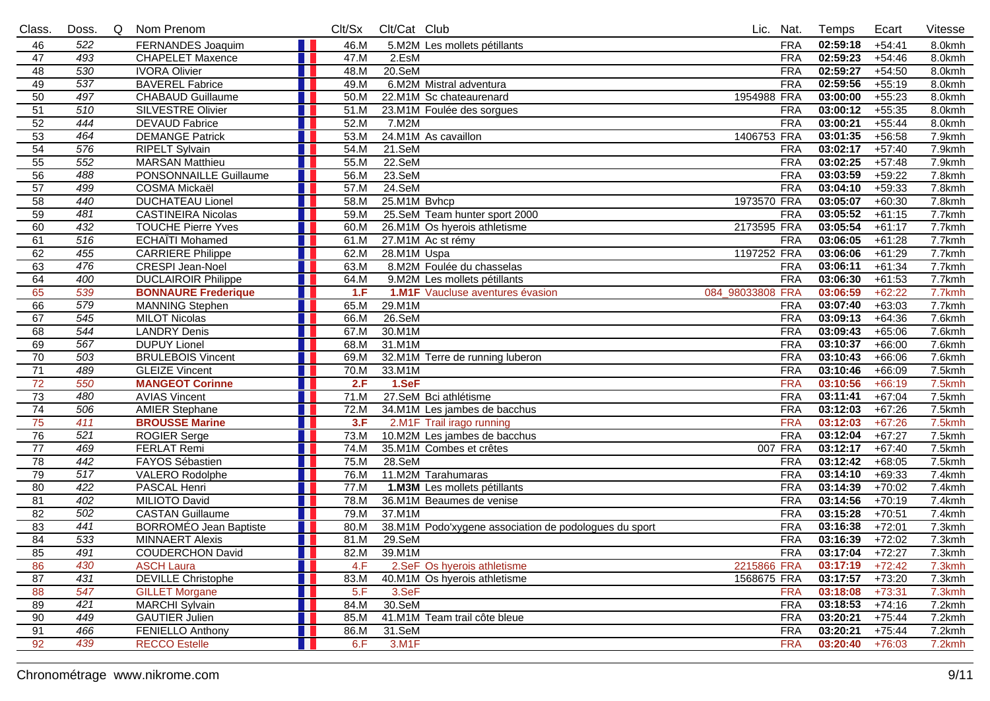| Class.          | Doss.            | Q | Nom Prenom                    | Clt/Sx | Clt/Cat Club |                                                       | Lic. Nat.        |            | Temps             | Ecart    | Vitesse |
|-----------------|------------------|---|-------------------------------|--------|--------------|-------------------------------------------------------|------------------|------------|-------------------|----------|---------|
| 46              | 522              |   | FERNANDES Joaquim             | 46.M   |              | 5.M2M Les mollets pétillants                          |                  | <b>FRA</b> | 02:59:18          | $+54:41$ | 8.0kmh  |
| 47              | 493              |   | <b>CHAPELET Maxence</b>       | 47.M   | 2.EsM        |                                                       |                  | <b>FRA</b> | 02:59:23          | $+54:46$ | 8.0kmh  |
| 48              | 530              |   | <b>IVORA Olivier</b>          | 48.M   | $20.$ SeM    |                                                       |                  | <b>FRA</b> | 02:59:27          | $+54:50$ | 8.0kmh  |
| 49              | 537              |   | <b>BAVEREL Fabrice</b>        | 49.M   |              | 6.M2M Mistral adventura                               |                  | <b>FRA</b> | 02:59:56          | $+55:19$ | 8.0kmh  |
| 50              | 497              |   | <b>CHABAUD Guillaume</b>      | 50.M   |              | 22.M1M Sc chateaurenard                               | 1954988 FRA      |            | 03:00:00          | $+55:23$ | 8.0kmh  |
| $\overline{51}$ | 510              |   | <b>SILVESTRE Olivier</b>      | 51.M   |              | 23.M1M Foulée des sorgues                             |                  | <b>FRA</b> | 03:00:12          | $+55:35$ | 8.0kmh  |
| 52              | 444              |   | <b>DEVAUD Fabrice</b>         | 52.M   | 7.M2M        |                                                       |                  | <b>FRA</b> | 03:00:21          | $+55:44$ | 8.0kmh  |
| 53              | 464              |   | <b>DEMANGE Patrick</b>        | 53.M   |              | 24.M1M As cavaillon                                   | 1406753 FRA      |            | 03:01:35          | $+56:58$ | 7.9kmh  |
| 54              | 576              |   | <b>RIPELT Sylvain</b>         | 54.M   | 21.SeM       |                                                       |                  | <b>FRA</b> | 03:02:17          | $+57:40$ | 7.9kmh  |
| 55              | 552              |   | <b>MARSAN Matthieu</b>        | 55.M   | $22.$ SeM    |                                                       |                  | <b>FRA</b> | 03:02:25          | $+57:48$ | 7.9kmh  |
| 56              | 488              |   | PONSONNAILLE Guillaume        | 56.M   | 23.SeM       |                                                       |                  | <b>FRA</b> | 03:03:59          | $+59:22$ | 7.8kmh  |
| 57              | 499              |   | <b>COSMA Mickaël</b>          | 57.M   | $24.$ SeM    |                                                       |                  | <b>FRA</b> | 03:04:10          | $+59:33$ | 7.8kmh  |
| 58              | 440              |   | <b>DUCHATEAU Lionel</b>       | 58.M   | 25.M1M Bvhcp |                                                       | 1973570 FRA      |            | 03:05:07          | $+60:30$ | 7.8kmh  |
| 59              | 481              |   | <b>CASTINEIRA Nicolas</b>     | 59.M   |              | 25.SeM Team hunter sport 2000                         |                  | <b>FRA</b> | 03:05:52          | $+61:15$ | 7.7kmh  |
| 60              | 432              |   | <b>TOUCHE Pierre Yves</b>     | 60.M   |              | 26.M1M Os hyerois athletisme                          | 2173595 FRA      |            | 03:05:54          | $+61:17$ | 7.7kmh  |
| 61              | 516              |   | <b>ECHAÏTI Mohamed</b>        | 61.M   |              | 27.M1M Ac st rémy                                     |                  | <b>FRA</b> | 03:06:05          | $+61:28$ | 7.7kmh  |
| 62              | 455              |   | <b>CARRIERE Philippe</b>      | 62.M   | 28.M1M Uspa  |                                                       | 1197252 FRA      |            | 03:06:06          | $+61:29$ | 7.7kmh  |
| 63              | 476              |   | <b>CRESPI Jean-Noel</b>       | 63.M   |              | 8.M2M Foulée du chasselas                             |                  | <b>FRA</b> | 03:06:11          | $+61:34$ | 7.7kmh  |
| 64              | 400              |   | <b>DUCLAIROIR Philippe</b>    | 64.M   |              | 9.M2M Les mollets pétillants                          |                  | <b>FRA</b> | 03:06:30          | $+61:53$ | 7.7kmh  |
| 65              | 539              |   | <b>BONNAURE Frederique</b>    | 1.F    |              | 1.M1F Vaucluse aventures évasion                      | 084_98033808 FRA |            | 03:06:59          | $+62:22$ | 7.7kmh  |
| 66              | 579              |   | <b>MANNING Stephen</b>        | 65.M   | 29.M1M       |                                                       |                  | <b>FRA</b> | 03:07:40          | $+63:03$ | 7.7kmh  |
| 67              | 545              |   | <b>MILOT Nicolas</b>          | 66.M   | $26.$ SeM    |                                                       |                  | <b>FRA</b> | 03:09:13          | $+64:36$ | 7.6kmh  |
| 68              | 544              |   | <b>LANDRY Denis</b>           | 67.M   | 30.M1M       |                                                       |                  | <b>FRA</b> | 03:09:43          | $+65:06$ | 7.6kmh  |
| 69              | 567              |   | <b>DUPUY Lionel</b>           | 68.M   | 31.M1M       |                                                       |                  | <b>FRA</b> | 03:10:37          | $+66:00$ | 7.6kmh  |
| $\overline{70}$ | 503              |   | <b>BRULEBOIS Vincent</b>      | 69.M   |              | 32.M1M Terre de running luberon                       |                  | <b>FRA</b> | 03:10:43          | $+66:06$ | 7.6kmh  |
| 71              | 489              |   | <b>GLEIZE Vincent</b>         | 70.M   | 33.M1M       |                                                       |                  | <b>FRA</b> | 03:10:46          | $+66:09$ | 7.5kmh  |
| $\overline{72}$ | 550              |   | <b>MANGEOT Corinne</b>        | 2.F    | 1.SeF        |                                                       |                  | <b>FRA</b> | 03:10:56          | $+66:19$ | 7.5kmh  |
| $\overline{73}$ | 480              |   | <b>AVIAS Vincent</b>          | 71.M   |              | 27.SeM Bci athlétisme                                 |                  | <b>FRA</b> | 03:11:41          | $+67:04$ | 7.5kmh  |
| $\overline{74}$ | 506              |   | <b>AMIER Stephane</b>         | 72.M   |              | 34.M1M Les jambes de bacchus                          |                  | <b>FRA</b> | 03:12:03          | $+67:26$ | 7.5kmh  |
| 75              | $\overline{411}$ |   | <b>BROUSSE Marine</b>         | 3.F    |              | 2.M1F Trail irago running                             |                  | <b>FRA</b> | 03:12:03          | $+67:26$ | 7.5kmh  |
| 76              | 521              |   | <b>ROGIER Serge</b>           | 73.M   |              | 10.M2M Les jambes de bacchus                          |                  | <b>FRA</b> | 03:12:04          | $+67:27$ | 7.5kmh  |
| 77              | 469              |   | <b>FERLAT Remi</b>            | 74.M   |              | 35.M1M Combes et crêtes                               | 007 FRA          |            | 03:12:17          | $+67:40$ | 7.5kmh  |
| 78              | 442              |   | FAYOS Sébastien               | 75.M   | 28.SeM       |                                                       |                  | <b>FRA</b> | 03:12:42          | $+68:05$ | 7.5kmh  |
| 79              | 517              |   | <b>VALERO Rodolphe</b>        | 76.M   |              | 11.M2M Tarahumaras                                    |                  | <b>FRA</b> | 03:14:10          | $+69:33$ | 7.4kmh  |
| 80              | 422              |   | <b>PASCAL Henri</b>           | 77.M   |              | 1.M3M Les mollets pétillants                          |                  | <b>FRA</b> | 03:14:39          | $+70:02$ | 7.4kmh  |
| 81              | 402              |   | <b>MILIOTO David</b>          | 78.M   |              | 36.M1M Beaumes de venise                              |                  | <b>FRA</b> | 03:14:56          | $+70:19$ | 7.4kmh  |
| 82              | 502              |   | <b>CASTAN Guillaume</b>       | 79.M   | 37.M1M       |                                                       |                  | <b>FRA</b> | 03:15:28          | $+70:51$ | 7.4kmh  |
| 83              | 441              |   | <b>BORROMÉO Jean Baptiste</b> | 80.M   |              | 38.M1M Podo'xygene association de podologues du sport |                  | <b>FRA</b> | 03:16:38          | $+72:01$ | 7.3kmh  |
| 84              | 533              |   | <b>MINNAERT Alexis</b>        | 81.M   | 29.SeM       |                                                       |                  | <b>FRA</b> | 03:16:39          | $+72:02$ | 7.3kmh  |
| 85              | 491              |   | <b>COUDERCHON David</b>       | 82.M   | 39.M1M       |                                                       |                  | <b>FRA</b> | $03:17:04$ +72:27 |          | 7.3kmh  |
| 86              | 430              |   | <b>ASCH Laura</b>             | 4.F    |              | 2.SeF Os hyerois athletisme                           | 2215866 FRA      |            | 03:17:19          | $+72:42$ | 7.3kmh  |
| 87              | 431              |   | <b>DEVILLE Christophe</b>     | 83.M   |              | 40.M1M Os hyerois athletisme                          | 1568675 FRA      |            | 03:17:57          | $+73:20$ | 7.3kmh  |
| 88              | 547              |   | <b>GILLET Morgane</b>         | 5.F    | 3.SeF        |                                                       |                  | <b>FRA</b> | 03:18:08          | $+73:31$ | 7.3kmh  |
| 89              | 421              |   | <b>MARCHI Sylvain</b>         | 84.M   | 30.SeM       |                                                       |                  | <b>FRA</b> | 03:18:53          | $+74:16$ | 7.2kmh  |
| 90              | 449              |   | <b>GAUTIER Julien</b>         | 85.M   |              | 41.M1M Team trail côte bleue                          |                  | <b>FRA</b> | 03:20:21          | $+75:44$ | 7.2kmh  |
| 91              | 466              |   | <b>FENIELLO Anthony</b>       | 86.M   | 31.SeM       |                                                       |                  | <b>FRA</b> | 03:20:21          | $+75:44$ | 7.2kmh  |
| 92              | 439              |   | <b>RECCO Estelle</b>          | 6.F    | 3.M1F        |                                                       |                  | <b>FRA</b> | 03:20:40          | $+76:03$ | 7.2kmh  |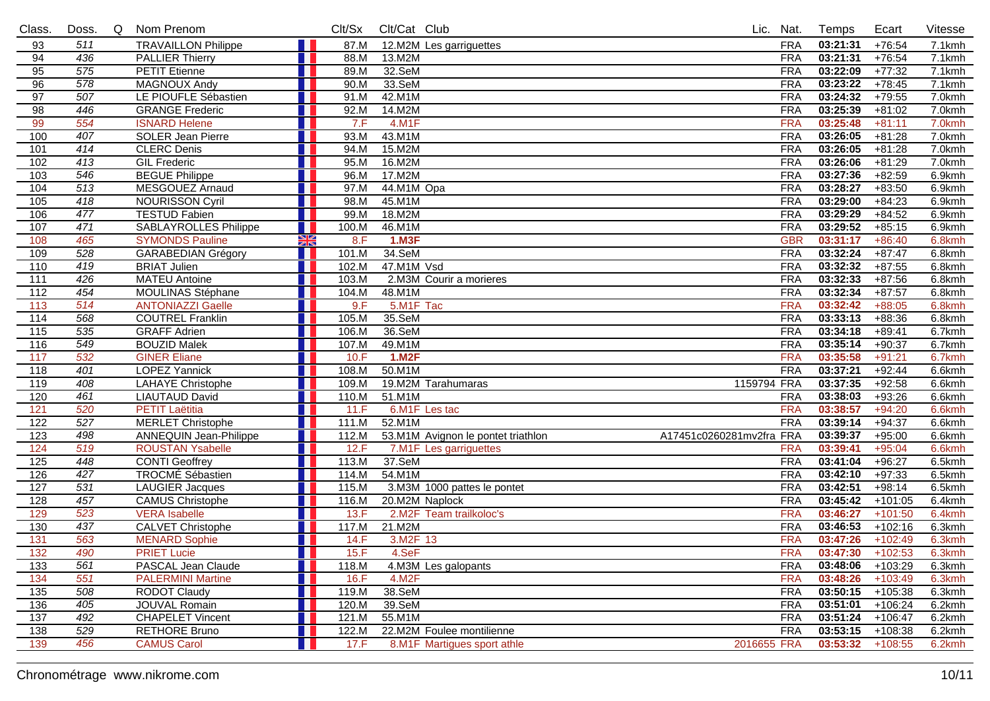| Class.            | Doss. | Q | Nom Prenom                    |               | Clt/Sx | Clt/Cat Club |                                    |                          | Lic. Nat.  | Temps               | Ecart     | Vitesse   |
|-------------------|-------|---|-------------------------------|---------------|--------|--------------|------------------------------------|--------------------------|------------|---------------------|-----------|-----------|
| 93                | 511   |   | <b>TRAVAILLON Philippe</b>    |               | 87.M   |              | 12.M2M Les garriguettes            |                          | <b>FRA</b> | 03:21:31            | $+76:54$  | 7.1kmh    |
| 94                | 436   |   | <b>PALLIER Thierry</b>        |               | 88.M   | 13.M2M       |                                    |                          | <b>FRA</b> | 03:21:31            | $+76:54$  | 7.1kmh    |
| 95                | 575   |   | <b>PETIT Etienne</b>          |               | 89.M   | 32.SeM       |                                    |                          | <b>FRA</b> | 03:22:09            | $+77:32$  | 7.1kmh    |
| 96                | 578   |   | <b>MAGNOUX Andy</b>           |               | 90.M   | 33.SeM       |                                    |                          | <b>FRA</b> | 03:23:22            | $+78:45$  | 7.1kmh    |
| 97                | 507   |   | LE PIOUFLE Sébastien          |               | 91.M   | 42.M1M       |                                    |                          | <b>FRA</b> | 03:24:32            | $+79:55$  | 7.0kmh    |
| 98                | 446   |   | <b>GRANGE Frederic</b>        |               | 92.M   | 14.M2M       |                                    |                          | <b>FRA</b> | 03:25:39            | $+81:02$  | 7.0kmh    |
| 99                | 554   |   | <b>ISNARD Helene</b>          |               | 7.F    | 4.M1F        |                                    |                          | <b>FRA</b> | 03:25:48            | $+81:11$  | 7.0kmh    |
| 100               | 407   |   | <b>SOLER Jean Pierre</b>      |               | 93.M   | 43.M1M       |                                    |                          | <b>FRA</b> | 03:26:05            | $+81:28$  | $7.0$ kmh |
| 101               | 414   |   | <b>CLERC Denis</b>            |               | 94.M   | 15.M2M       |                                    |                          | <b>FRA</b> | 03:26:05            | $+81:28$  | 7.0kmh    |
| 102               | 413   |   | <b>GIL Frederic</b>           |               | 95.M   | 16.M2M       |                                    |                          | <b>FRA</b> | 03:26:06            | $+81:29$  | 7.0kmh    |
| 103               | 546   |   | <b>BEGUE Philippe</b>         |               | 96.M   | 17.M2M       |                                    |                          | <b>FRA</b> | 03:27:36            | $+82:59$  | 6.9kmh    |
| 104               | 513   |   | MESGOUEZ Arnaud               |               | 97.M   | 44.M1M Opa   |                                    |                          | <b>FRA</b> | 03:28:27            | $+83:50$  | 6.9kmh    |
| $\frac{105}{105}$ | 418   |   | <b>NOURISSON Cyril</b>        |               | 98.M   | 45.M1M       |                                    |                          | <b>FRA</b> | 03:29:00            | $+84:23$  | 6.9kmh    |
| 106               | 477   |   | <b>TESTUD Fabien</b>          |               | 99.M   | 18.M2M       |                                    |                          | <b>FRA</b> | 03:29:29            | $+84:52$  | 6.9kmh    |
| 107               | 471   |   | <b>SABLAYROLLES Philippe</b>  |               | 100.M  | 46.M1M       |                                    |                          | <b>FRA</b> | 03:29:52            | $+85:15$  | 6.9kmh    |
| 108               | 465   |   | <b>SYMONDS Pauline</b>        | $\frac{N}{N}$ | 8.F    | 1.M3F        |                                    |                          | <b>GBR</b> | 03:31:17            | $+86:40$  | 6.8kmh    |
| 109               | 528   |   | <b>GARABEDIAN Grégory</b>     |               | 101.M  | 34.SeM       |                                    |                          | <b>FRA</b> | 03:32:24            | $+87:47$  | 6.8kmh    |
| 110               | 419   |   | <b>BRIAT Julien</b>           |               | 102.M  | 47.M1M Vsd   |                                    |                          | <b>FRA</b> | 03:32:32            | $+87:55$  | 6.8kmh    |
| 111               | 426   |   | <b>MATEU Antoine</b>          |               | 103.M  |              | 2.M3M Courir a morieres            |                          | <b>FRA</b> | 03:32:33            | $+87:56$  | 6.8kmh    |
| 112               | 454   |   | MOULINAS Stéphane             |               | 104.M  | 48.M1M       |                                    |                          | <b>FRA</b> | 03:32:34            | $+87:57$  | 6.8kmh    |
| 113               | 514   |   | <b>ANTONIAZZI Gaelle</b>      |               | 9.F    | 5.M1F Tac    |                                    |                          | <b>FRA</b> | 03:32:42            | $+88:05$  | 6.8kmh    |
| 114               | 568   |   | <b>COUTREL Franklin</b>       |               | 105.M  | 35.SeM       |                                    |                          | <b>FRA</b> | 03:33:13            | $+88:36$  | 6.8kmh    |
| $\frac{115}{115}$ | 535   |   | <b>GRAFF Adrien</b>           |               | 106.M  | 36.SeM       |                                    |                          | <b>FRA</b> | 03:34:18            | $+89:41$  | 6.7kmh    |
| 116               | 549   |   | <b>BOUZID Malek</b>           |               | 107.M  | 49.M1M       |                                    |                          | <b>FRA</b> | 03:35:14            | $+90:37$  | 6.7kmh    |
| $\frac{117}{117}$ | 532   |   | <b>GINER Eliane</b>           |               | 10.F   | 1.M2F        |                                    |                          | <b>FRA</b> | 03:35:58            | $+91:21$  | 6.7kmh    |
| 118               | 401   |   | <b>LOPEZ Yannick</b>          |               | 108.M  | 50.M1M       |                                    |                          | <b>FRA</b> | 03:37:21            | $+92:44$  | 6.6kmh    |
| 119               | 408   |   | <b>LAHAYE</b> Christophe      |               | 109.M  |              | 19.M2M Tarahumaras                 | 1159794 FRA              |            | 03:37:35            | $+92:58$  | 6.6kmh    |
| 120               | 461   |   | <b>LIAUTAUD David</b>         |               | 110.M  | 51.M1M       |                                    |                          | <b>FRA</b> | 03:38:03            | $+93:26$  | 6.6kmh    |
| 121               | 520   |   | <b>PETIT Laëtitia</b>         |               | 11.F   |              | 6.M1F Les tac                      |                          | <b>FRA</b> | 03:38:57            | $+94:20$  | 6.6kmh    |
| 122               | 527   |   | <b>MERLET Christophe</b>      |               | 111.M  | 52.M1M       |                                    |                          | <b>FRA</b> | 03:39:14            | $+94:37$  | 6.6kmh    |
| 123               | 498   |   | <b>ANNEQUIN Jean-Philippe</b> |               | 112.M  |              | 53.M1M Avignon le pontet triathlon | A17451c0260281mv2fra FRA |            | 03:39:37            | $+95:00$  | 6.6kmh    |
| 124               | 519   |   | <b>ROUSTAN Ysabelle</b>       |               | 12.F   |              | 7.M1F Les garriguettes             |                          | <b>FRA</b> | 03:39:41            | $+95:04$  | 6.6kmh    |
| 125               | 448   |   | <b>CONTI Geoffrey</b>         |               | 113.M  | 37.SeM       |                                    |                          | <b>FRA</b> | 03:41:04            | $+96:27$  | 6.5kmh    |
| 126               | 427   |   | <b>TROCMÉ Sébastien</b>       |               | 114.M  | 54.M1M       |                                    |                          | <b>FRA</b> | 03:42:10            | $+97:33$  | 6.5kmh    |
| 127               | 531   |   | <b>LAUGIER Jacques</b>        |               | 115.M  |              | 3.M3M 1000 pattes le pontet        |                          | <b>FRA</b> | 03:42:51            | $+98:14$  | 6.5kmh    |
| 128               | 457   |   | <b>CAMUS Christophe</b>       |               | 116.M  |              | 20.M2M Naplock                     |                          | <b>FRA</b> | 03:45:42            | $+101:05$ | 6.4kmh    |
| 129               | 523   |   | <b>VERA</b> Isabelle          |               | 13.F   |              | 2.M2F Team trailkoloc's            |                          | <b>FRA</b> | 03:46:27            | $+101:50$ | 6.4kmh    |
| 130               | 437   |   | <b>CALVET Christophe</b>      |               | 117.M  | 21.M2M       |                                    |                          | <b>FRA</b> | 03:46:53            | $+102:16$ | 6.3kmh    |
| $\overline{131}$  | 563   |   | <b>MENARD Sophie</b>          |               | 14.F   | 3.M2F 13     |                                    |                          | <b>FRA</b> | 03:47:26            | $+102:49$ | 6.3kmh    |
| $\overline{132}$  | 490   |   | <b>PRIET Lucie</b>            | H.            | 15.F   | 4.SeF        |                                    |                          | <b>FRA</b> | $03:47:30 + 102:53$ |           | 6.3kmh    |
| 133               | 561   |   | PASCAL Jean Claude            |               | 118.M  |              | 4.M3M Les galopants                |                          | FRA        | 03:48:06            | +103:29   | 6.3kmh    |
| 134               | 551   |   | <b>PALERMINI Martine</b>      |               | 16.F   | 4.M2F        |                                    |                          | <b>FRA</b> | 03:48:26            | $+103:49$ | 6.3kmh    |
| 135               | 508   |   | <b>RODOT Claudy</b>           |               | 119.M  | 38.SeM       |                                    |                          | <b>FRA</b> | 03:50:15            | +105:38   | 6.3kmh    |
| 136               | 405   |   | JOUVAL Romain                 |               | 120.M  | 39.SeM       |                                    |                          | <b>FRA</b> | 03:51:01            | $+106:24$ | 6.2kmh    |
| 137               | 492   |   | <b>CHAPELET Vincent</b>       |               | 121.M  | 55.M1M       |                                    |                          | <b>FRA</b> | 03:51:24            | $+106:47$ | 6.2kmh    |
| 138               | 529   |   | <b>RETHORE Bruno</b>          |               | 122.M  |              | 22.M2M Foulee montilienne          |                          | <b>FRA</b> | 03:53:15            | +108:38   | 6.2kmh    |
| 139               | 456   |   | <b>CAMUS Carol</b>            |               | 17.F   |              | 8.M1F Martigues sport athle        | 2016655 FRA              |            | 03:53:32            | $+108:55$ | 6.2kmh    |